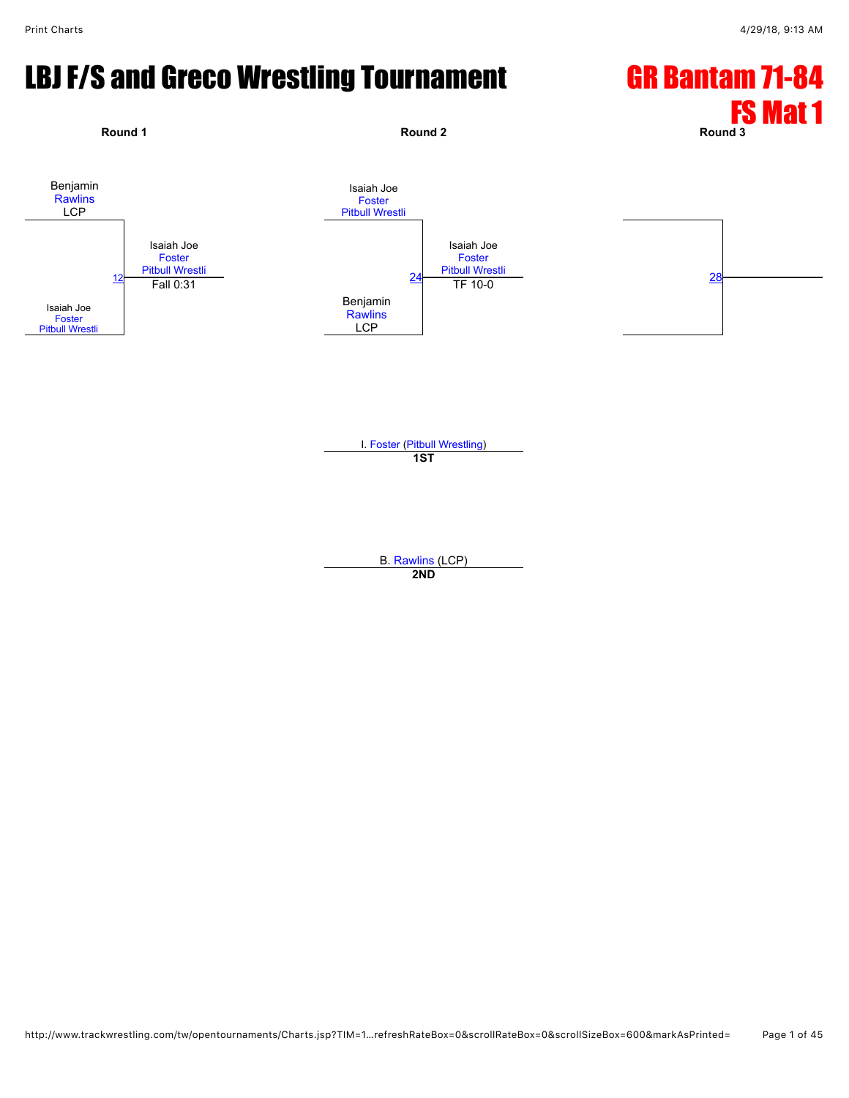# LBJ F/S and Greco Wrestling Tournament GR Bantam 71-84



#### **1ST**

B. [Rawlins](javascript:viewProfile(1188487096)) (LCP) **2ND**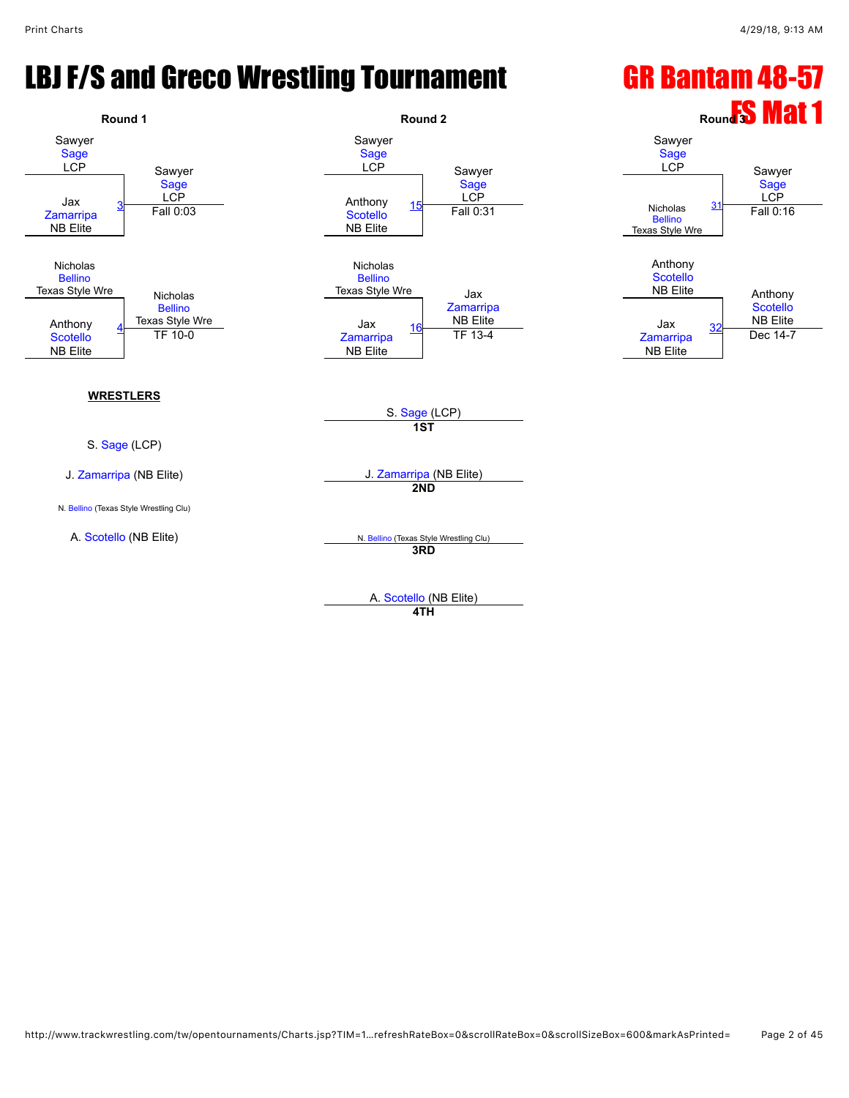# LBJ F/S and Greco Wrestling Tournament GR Bantam 48-57



**4TH**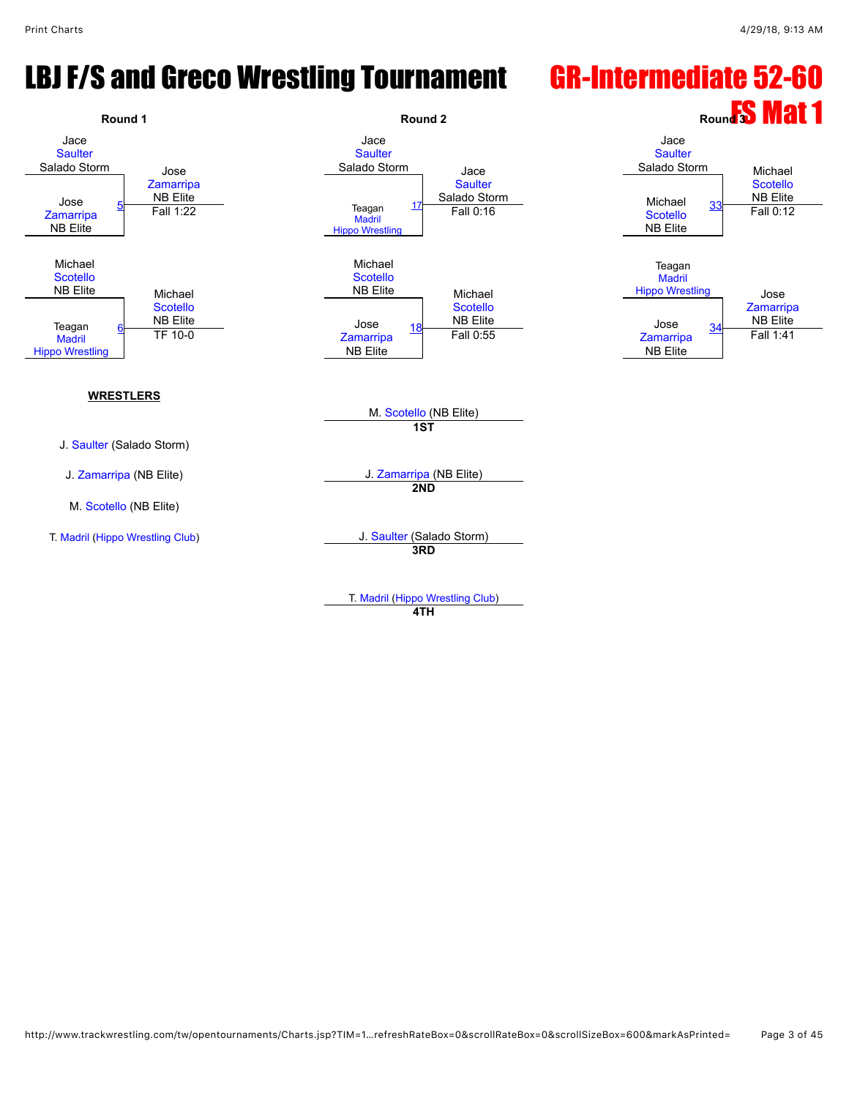#### LBJ F/S and Greco Wrestling Tournament GR-Intermediate 52-60



**4TH**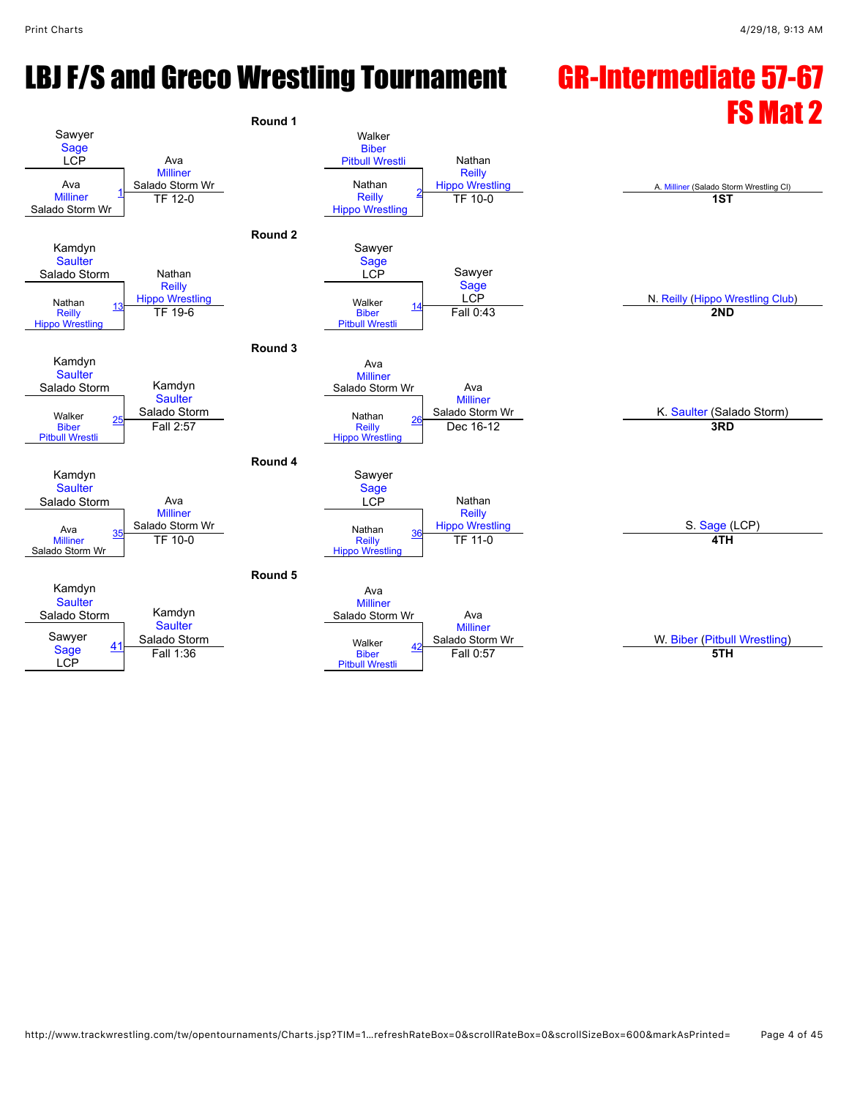# LBJ F/S and Greco Wrestling Tournament GR-Intermediate 57-67

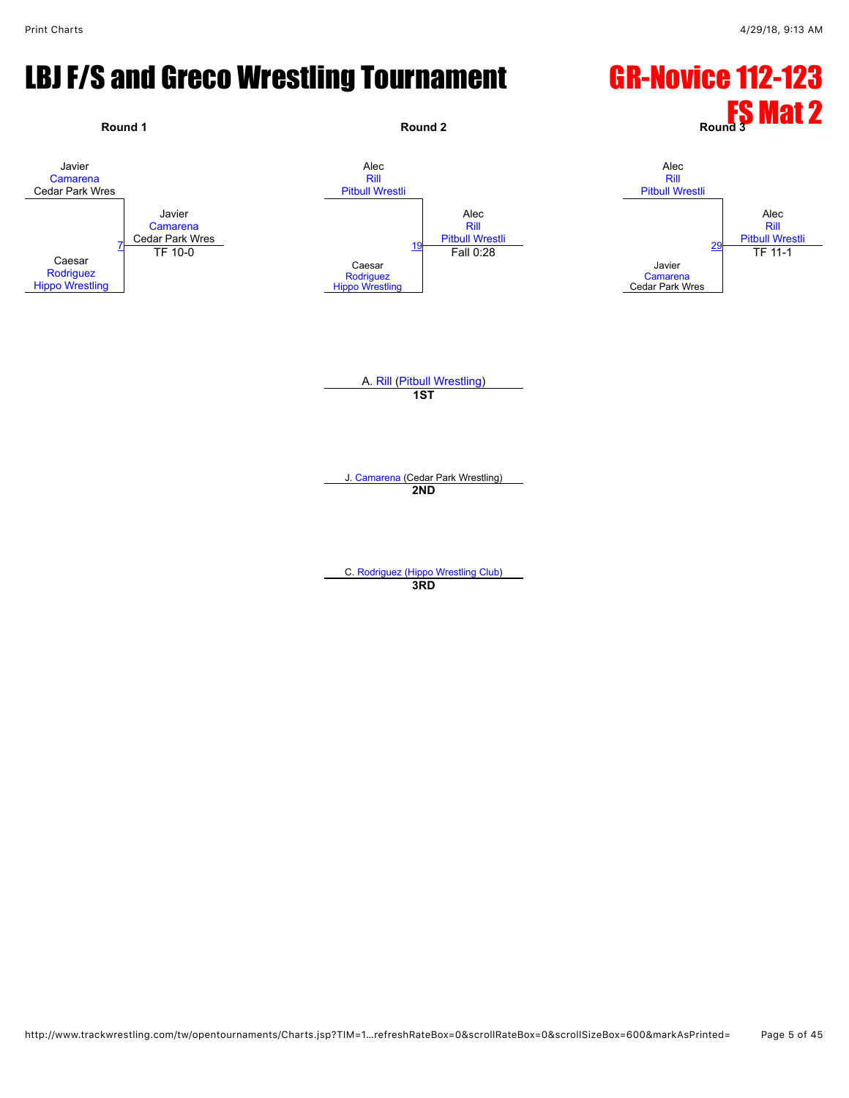#### LBJ F/S and Greco Wrestling Tournament GR-Novice 112-123

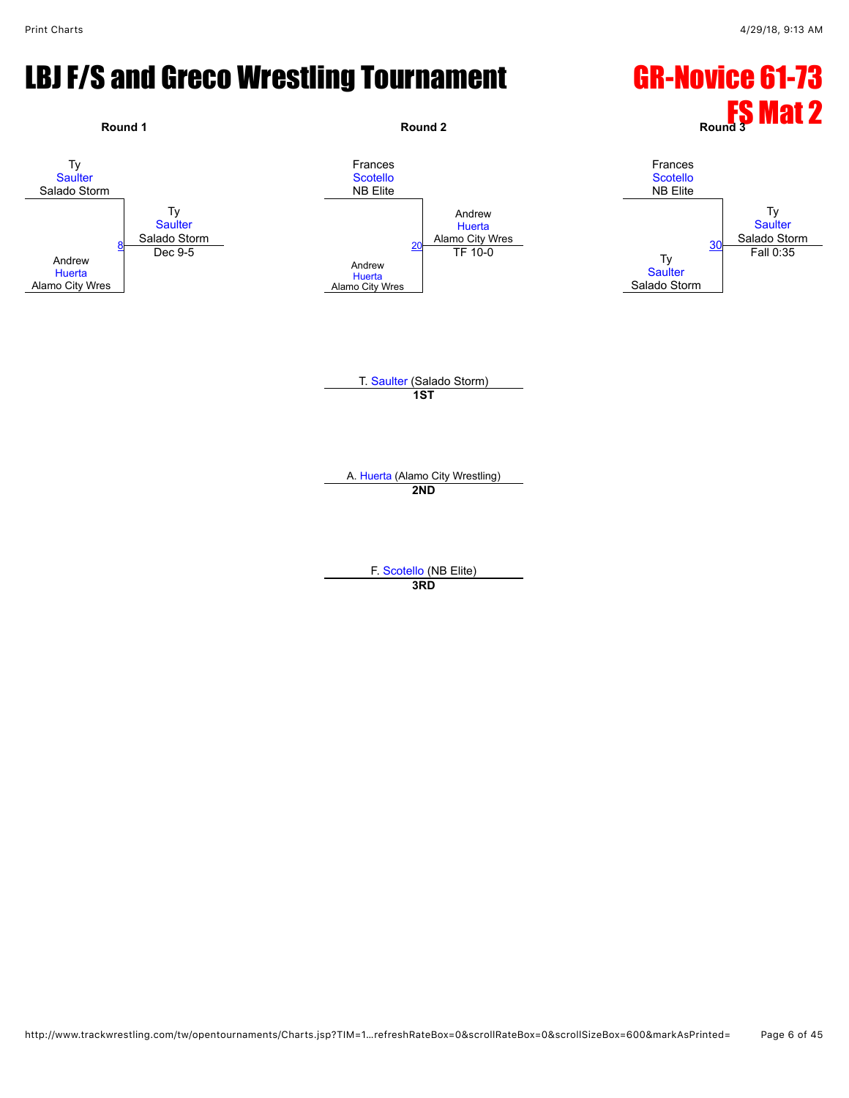#### LBJ F/S and Greco Wrestling Tournament GR-Novice 61-73

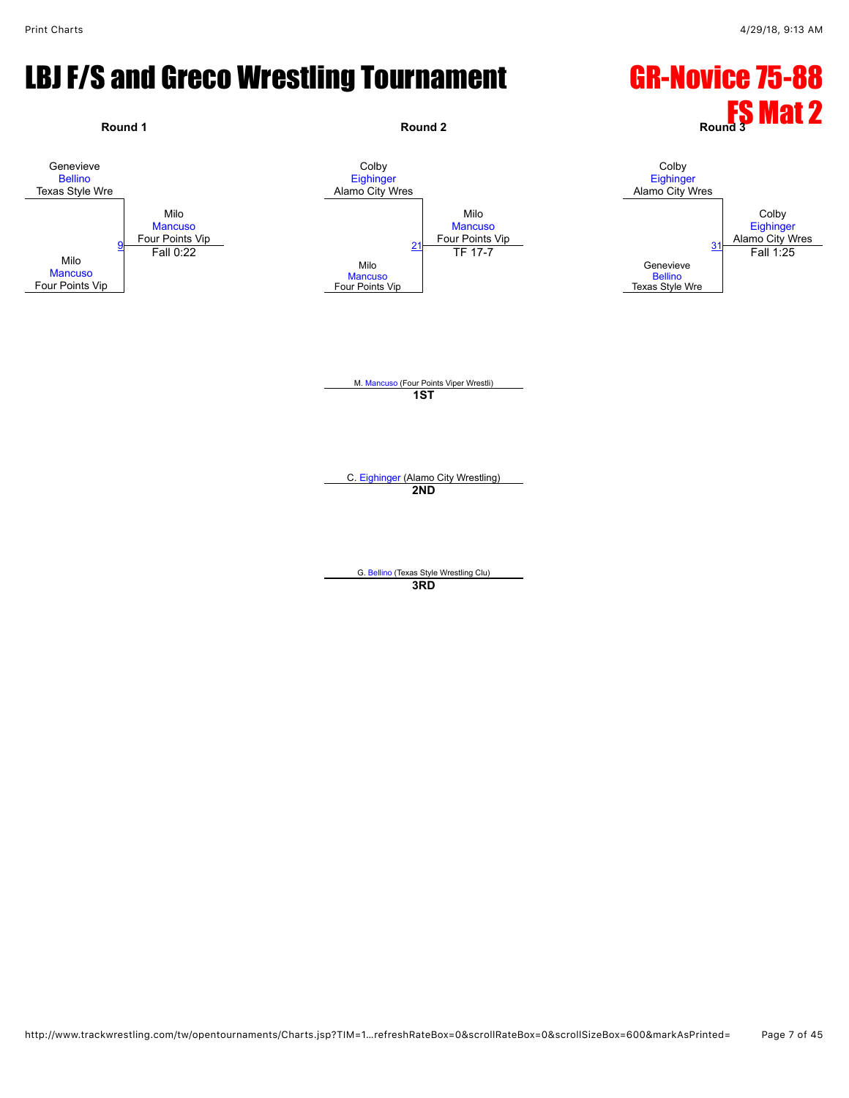#### LBJ F/S and Greco Wrestling Tournament GR-Novice 75-88

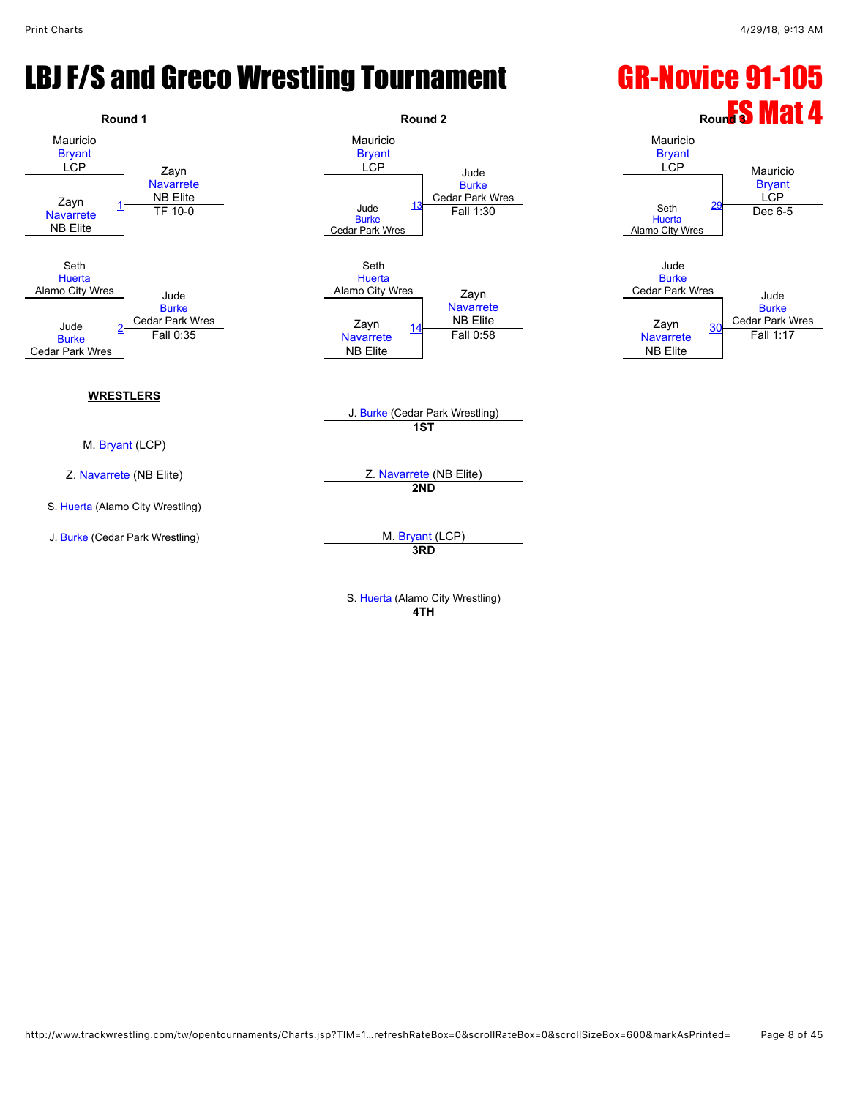#### LBJ F/S and Greco Wrestling Tournament GR-Novice 91-105



**4TH**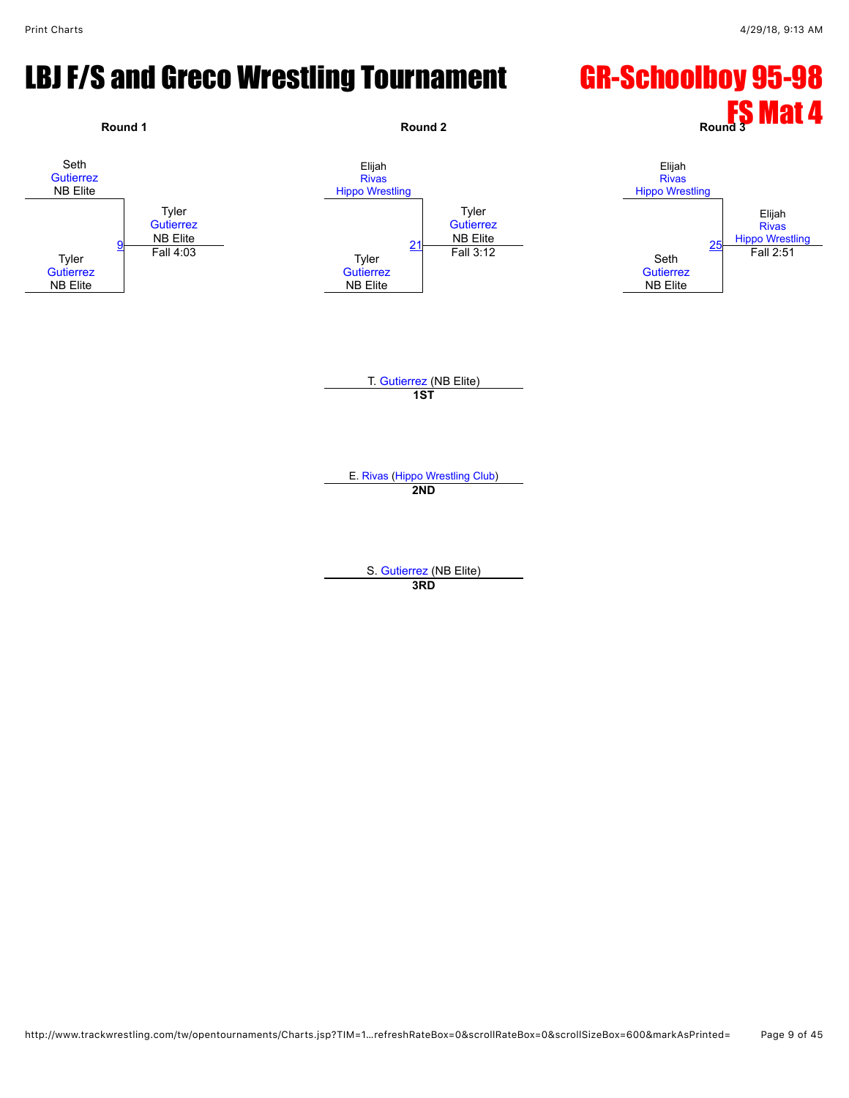#### LBJ F/S and Greco Wrestling Tournament GR-Schoolboy 95-98

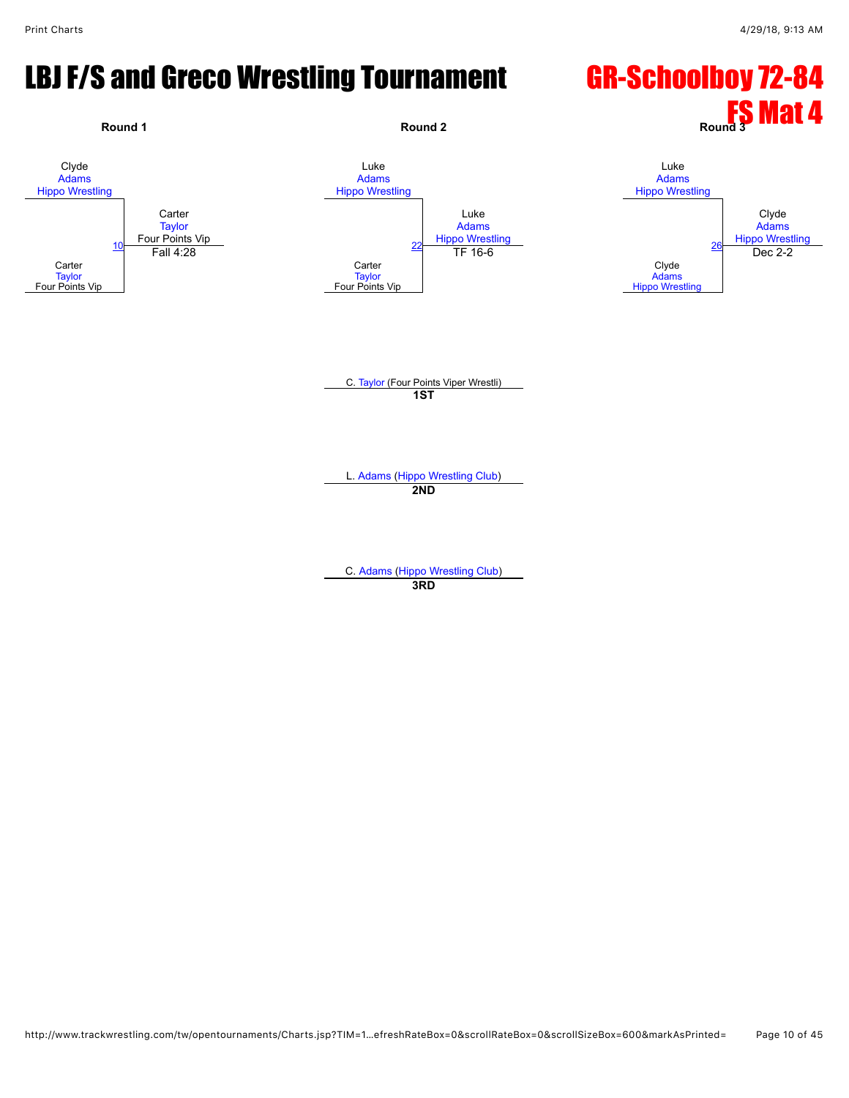#### LBJ F/S and Greco Wrestling Tournament GR-Schoolboy 72-84

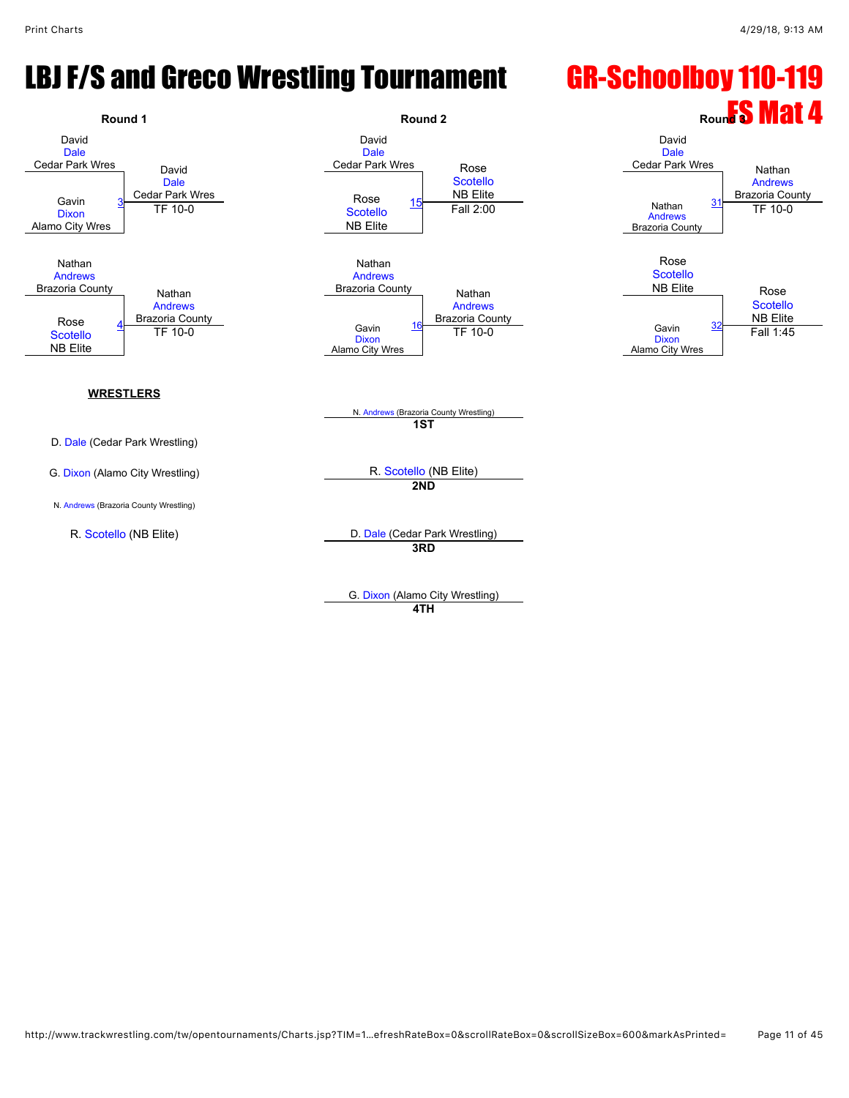#### LBJ F/S and Greco Wrestling Tournament GR-Schoolboy 110-119



G. [Dixon](javascript:viewProfile(285330096)) (Alamo City Wrestling) **4TH**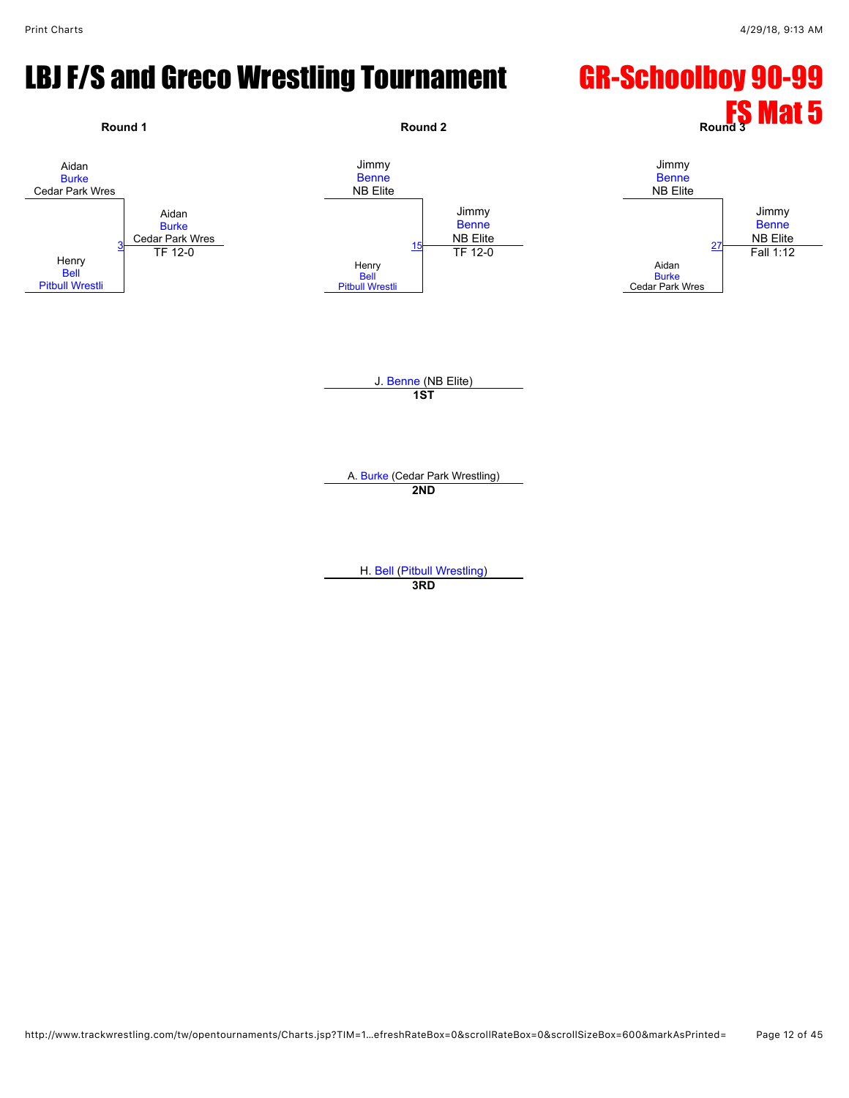#### LBJ F/S and Greco Wrestling Tournament GR-Schoolboy 90-99

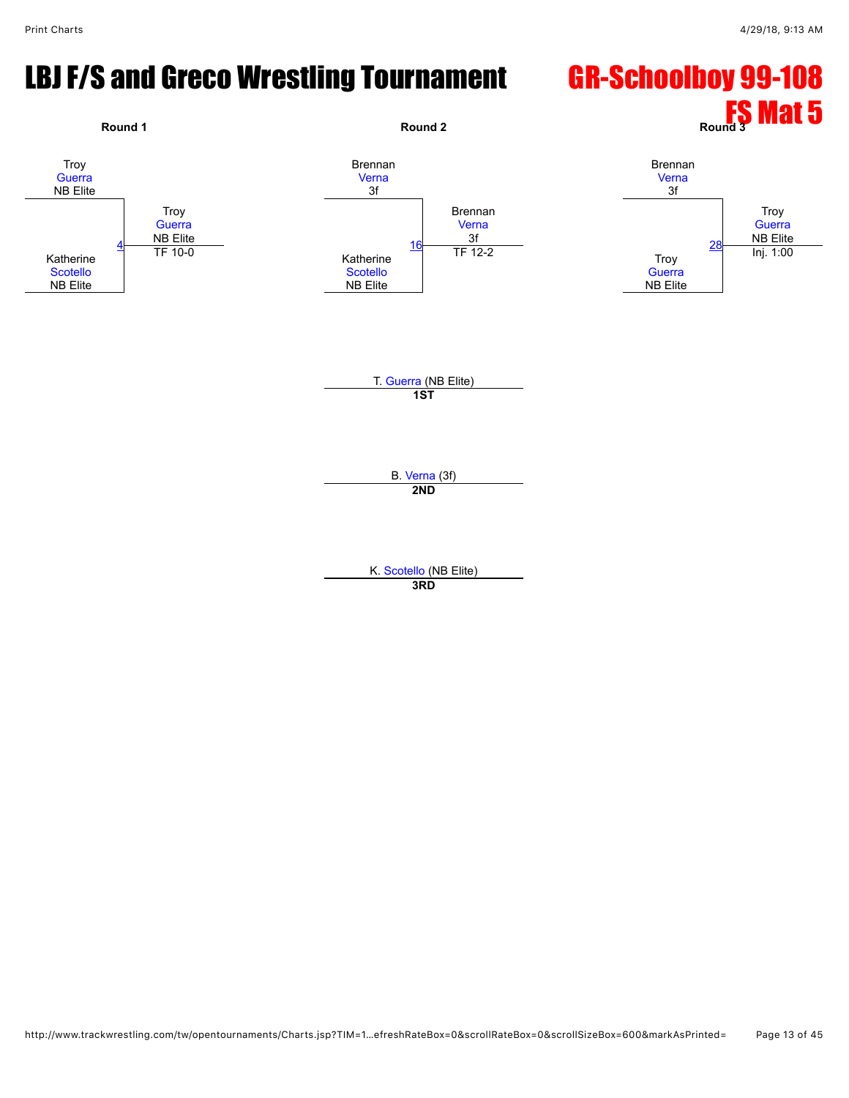# LBJ F/S and Greco Wrestling Tournament GR-Schoolboy 99-108

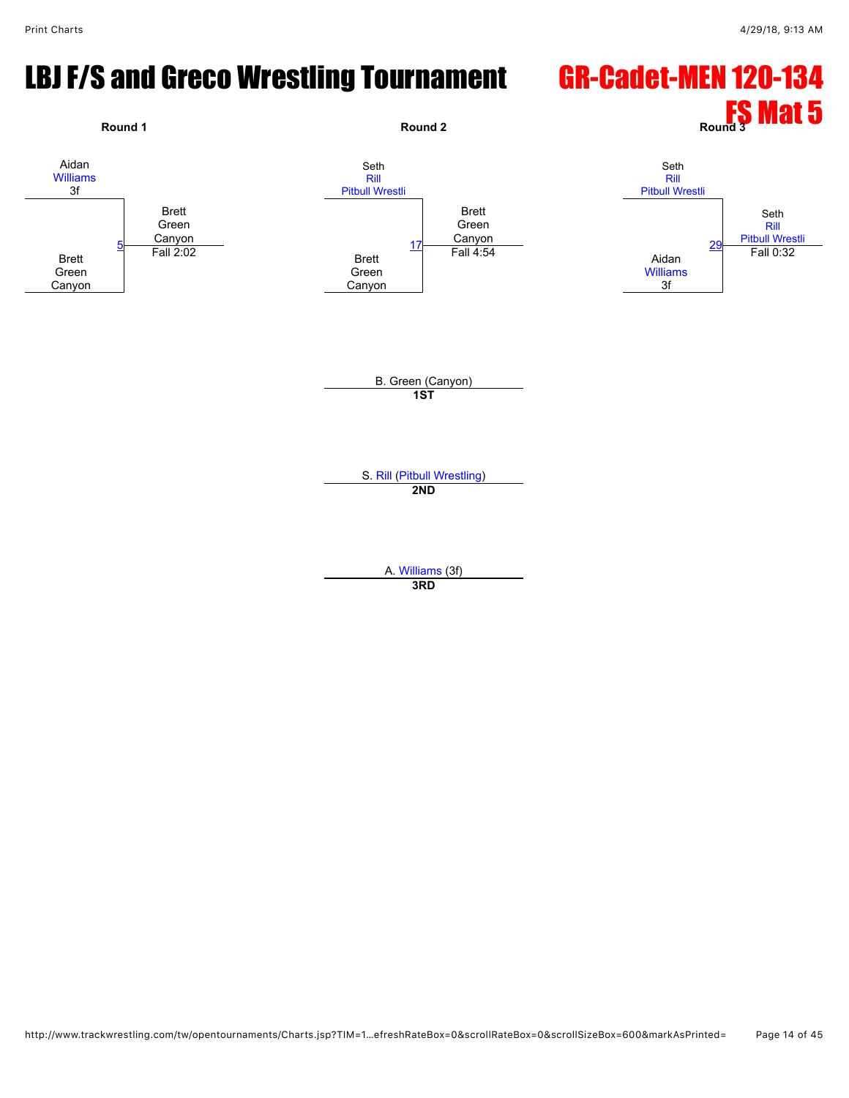#### LBJ F/S and Greco Wrestling Tournament GR-Cadet-MEN 120-134

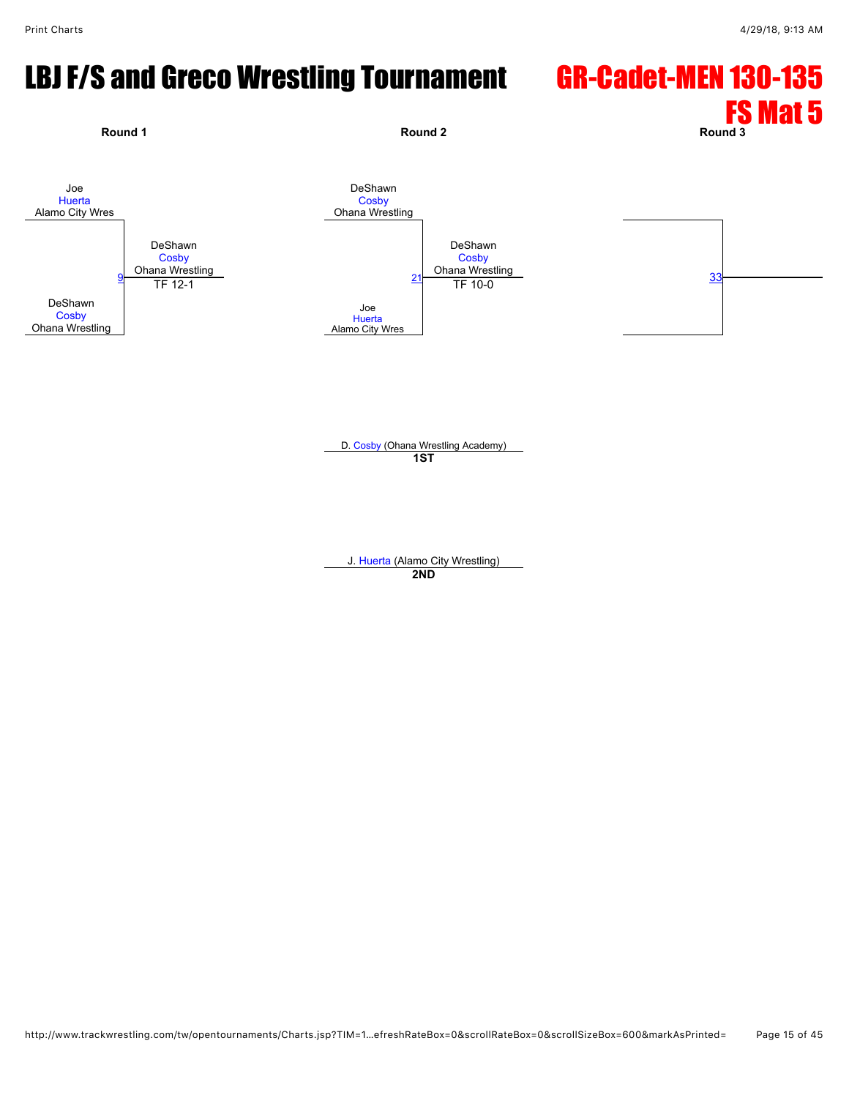# LBJ F/S and Greco Wrestling Tournament GR-Cadet-MEN 130-135



D. [Cosby](javascript:viewProfile(1008503009)) (Ohana Wrestling Academy) **1ST**

J. [Huerta](javascript:viewProfile(1940023009)) (Alamo City Wrestling) **2ND**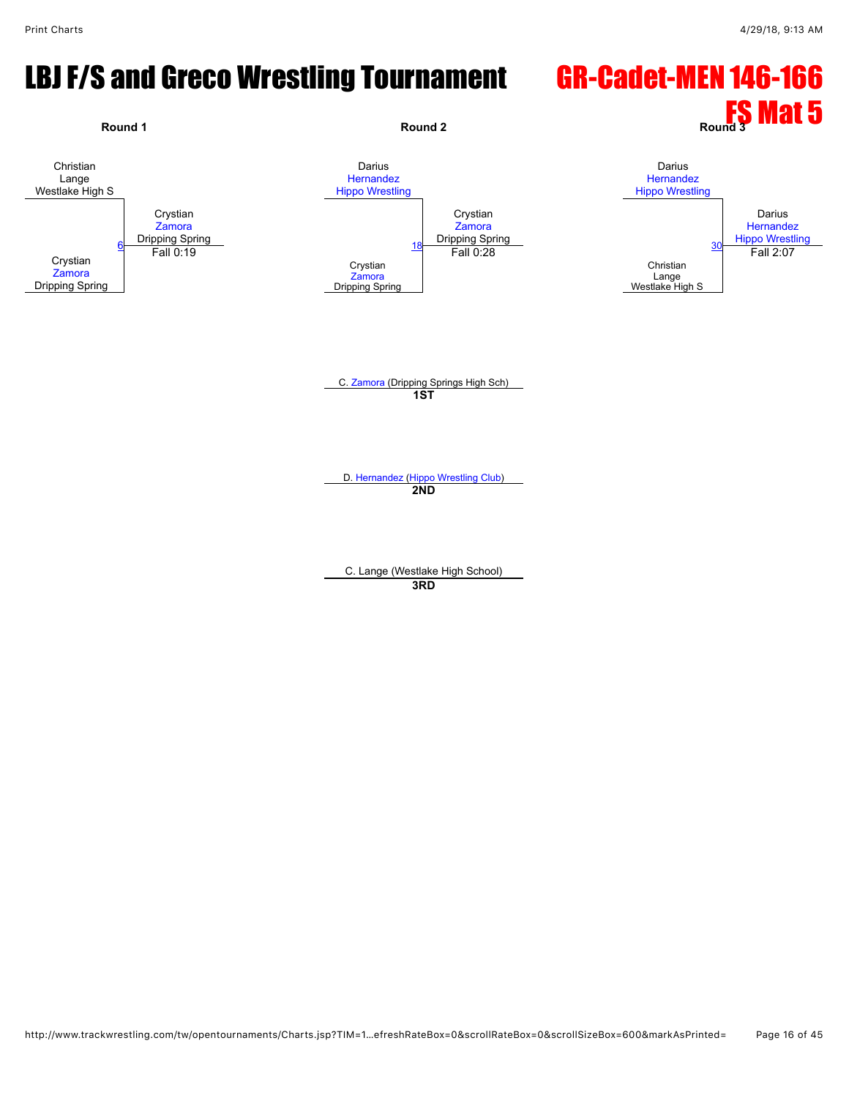#### LBJ F/S and Greco Wrestling Tournament GR-Cadet-MEN 146-166

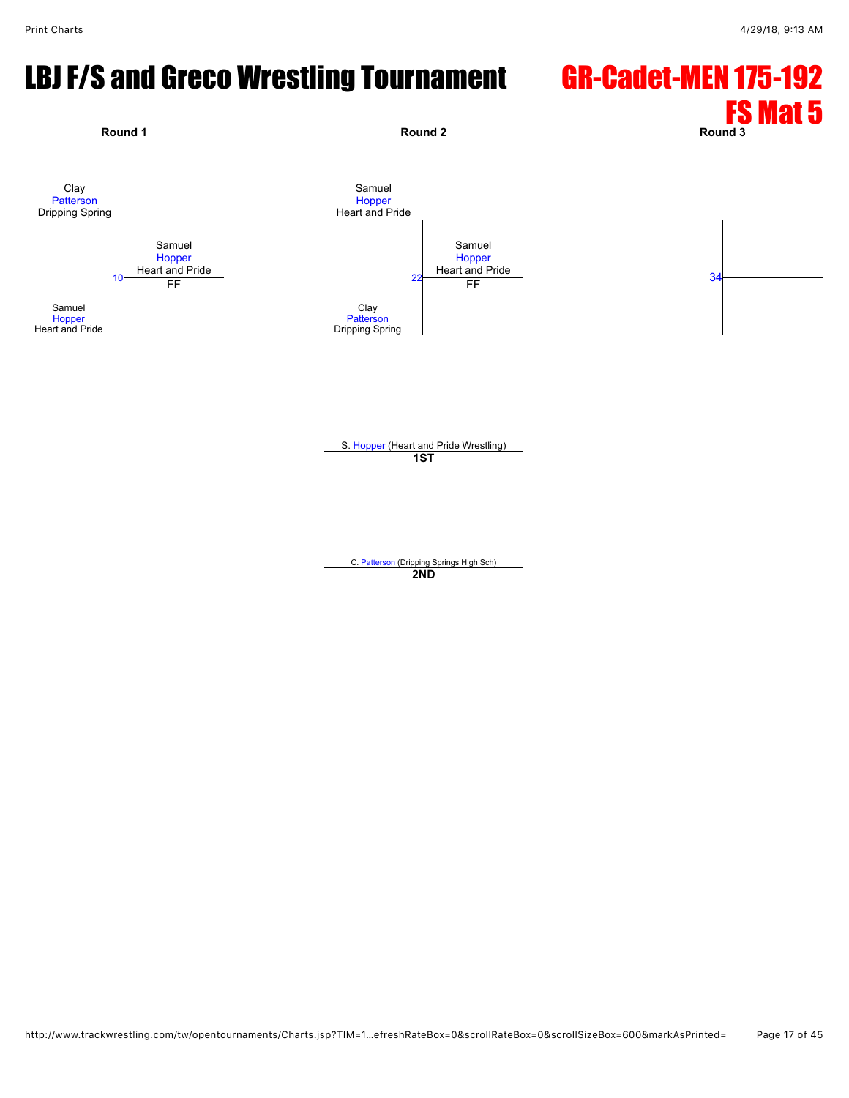# LBJ F/S and Greco Wrestling Tournament GR-Cadet-MEN 175-192



S. [Hopper](javascript:viewProfile(1745194096)) (Heart and Pride Wrestling) **1ST**

C. [Patterson](javascript:viewProfile(1778927096)) (Dripping Springs High Sch) **2ND**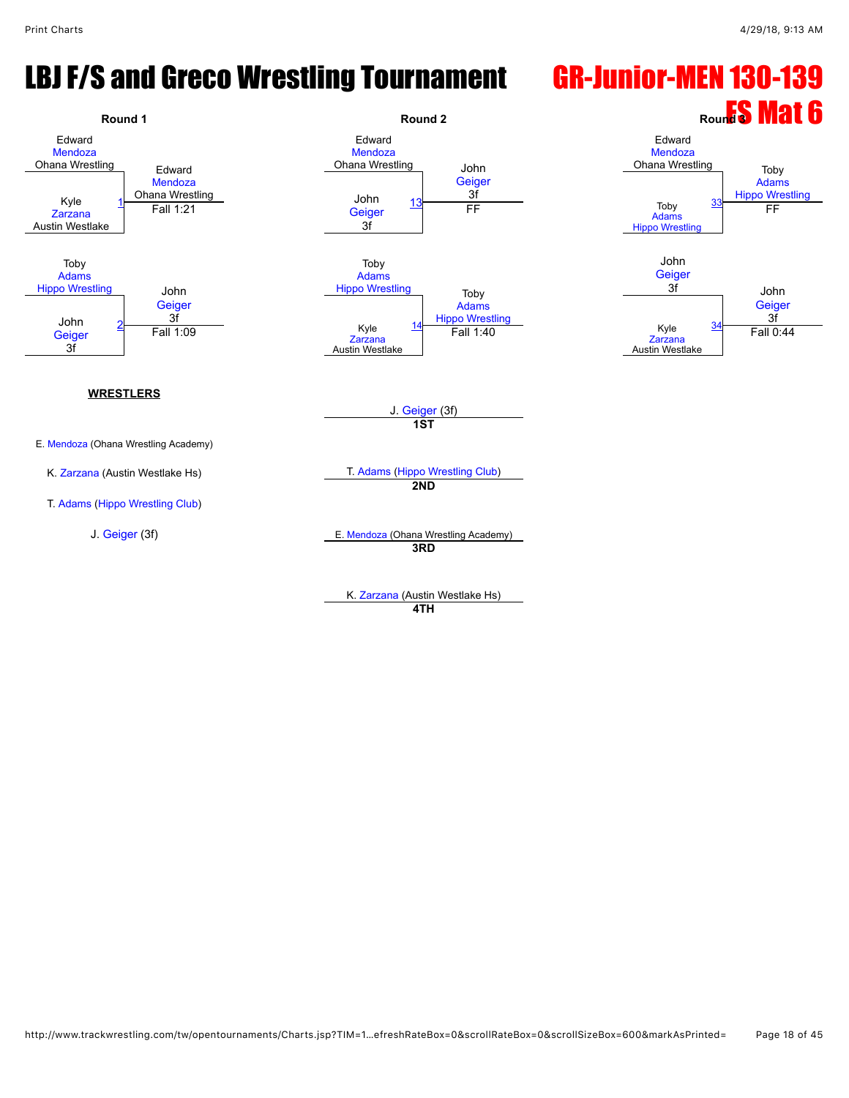# LBJ F/S and Greco Wrestling Tournament GR-Junior-MEN 130-139



K. [Zarzana](javascript:viewProfile(1127045009)) (Austin Westlake Hs) **4TH**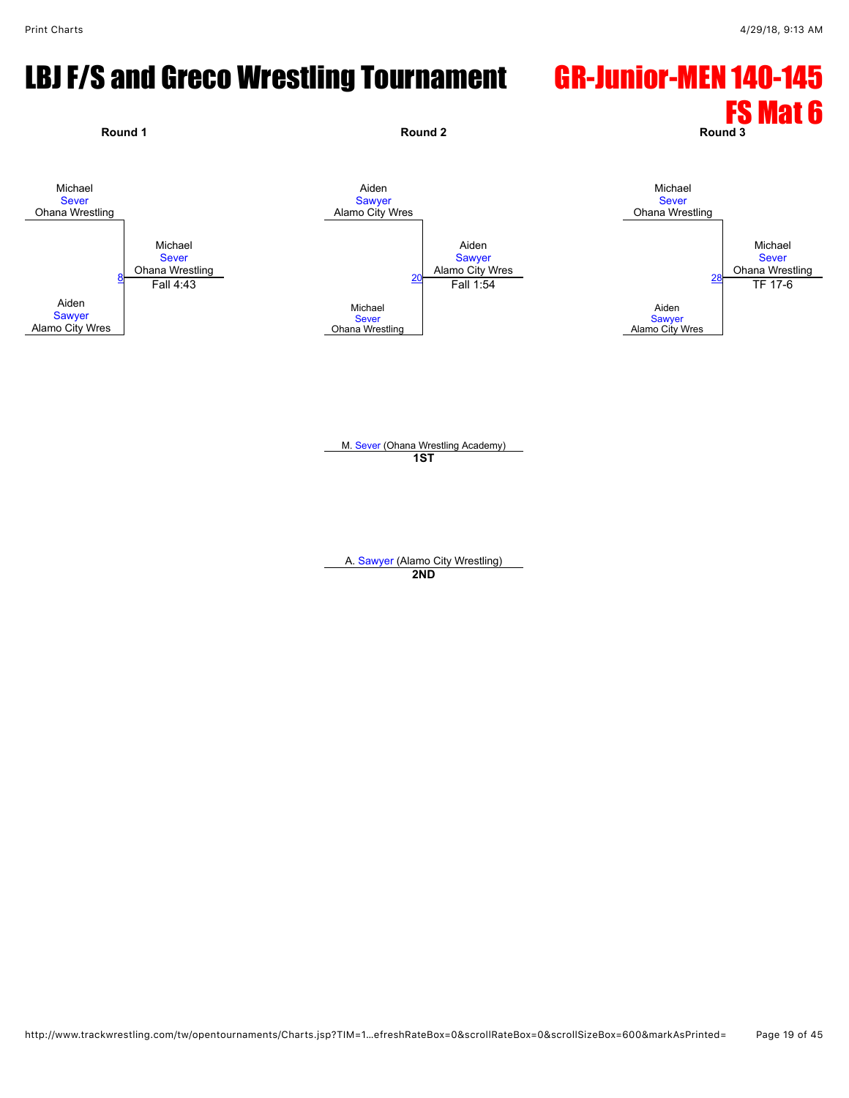# LBJ F/S and Greco Wrestling Tournament GR-Junior-MEN 140-145



M. [Sever](javascript:viewProfile(390320132)) (Ohana Wrestling Academy) **1ST**

A. [Sawyer](javascript:viewProfile(663619132)) (Alamo City Wrestling) **2ND**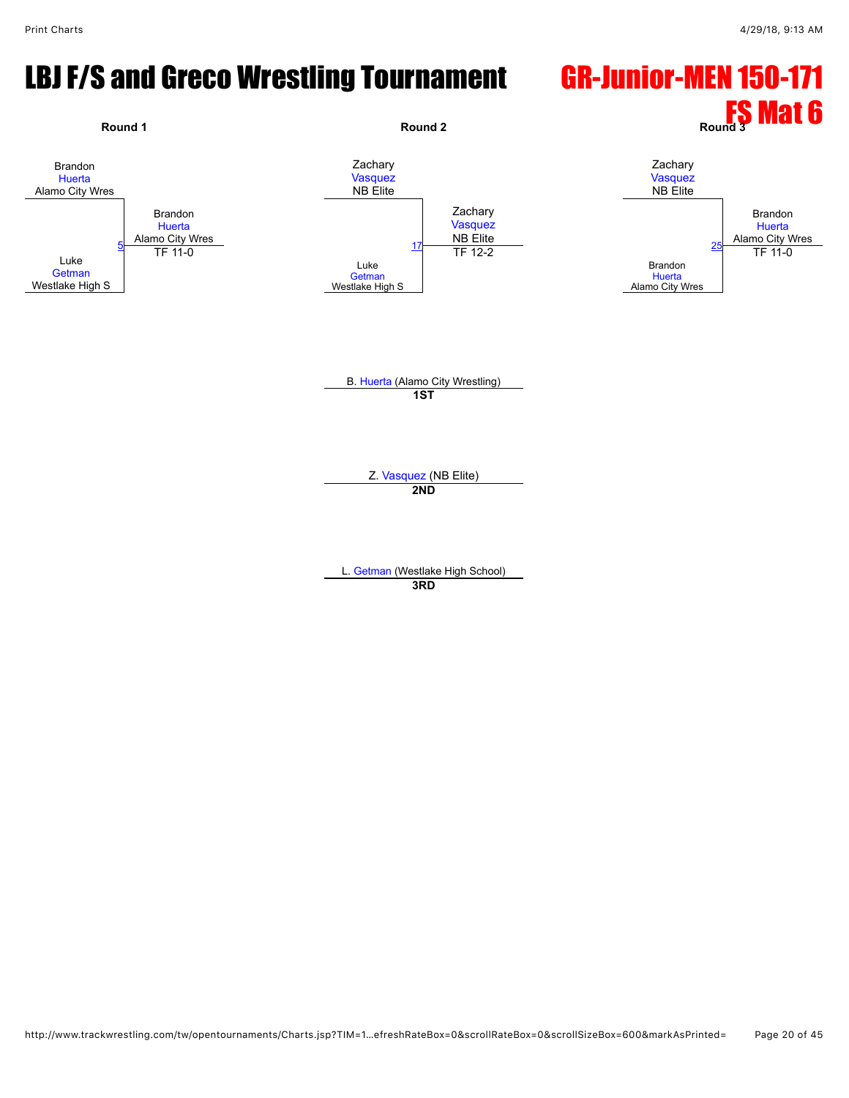#### LBJ F/S and Greco Wrestling Tournament GR-Junior-MEN 150-171



L. [Getman](javascript:viewProfile(1008735009)) (Westlake High School)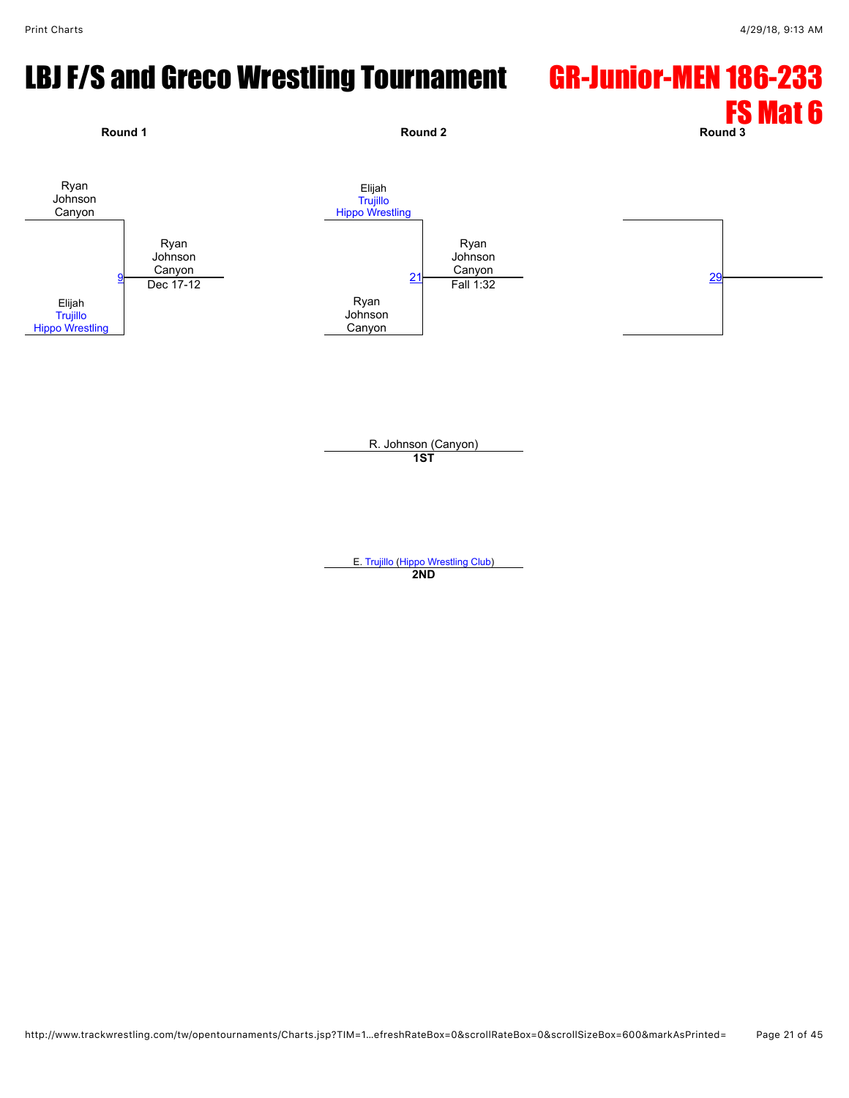# LBJ F/S and Greco Wrestling Tournament GR-Junior-MEN 186-233



E. [Trujillo](javascript:viewProfile(20998094)) [\(Hippo Wrestling Club](javascript:viewClub(257903009))) **2ND**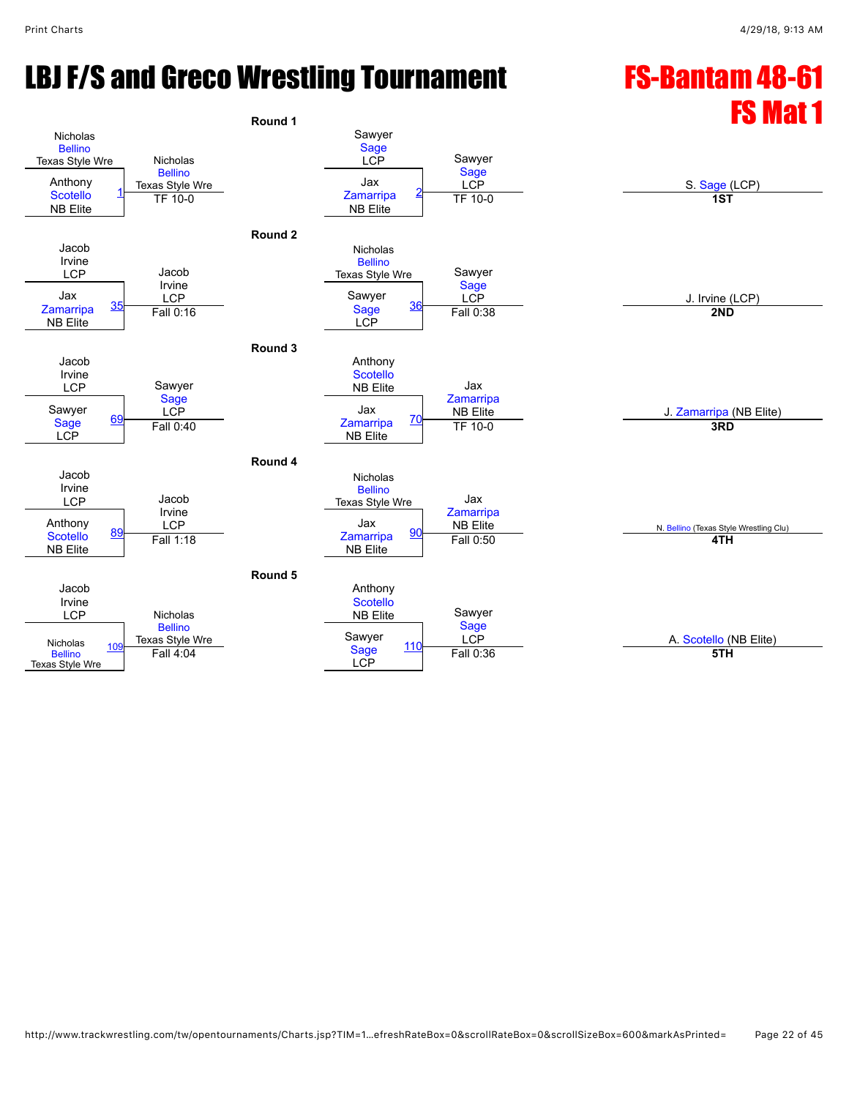# LBJ F/S and Greco Wrestling Tournament FS-Bantam 48-61

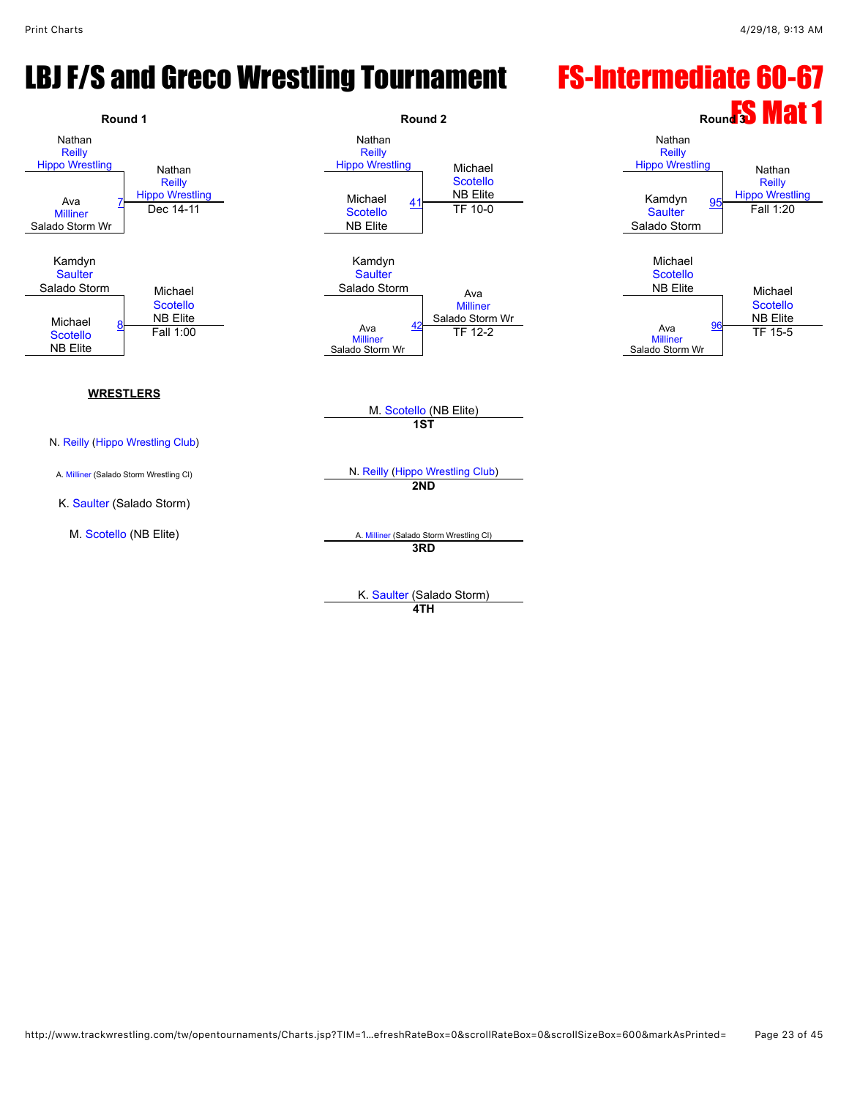## LBJ F/S and Greco Wrestling Tournament FS-Intermediate 60-67



K. [Saulter](javascript:viewProfile(1571203009)) (Salado Storm)

**4TH**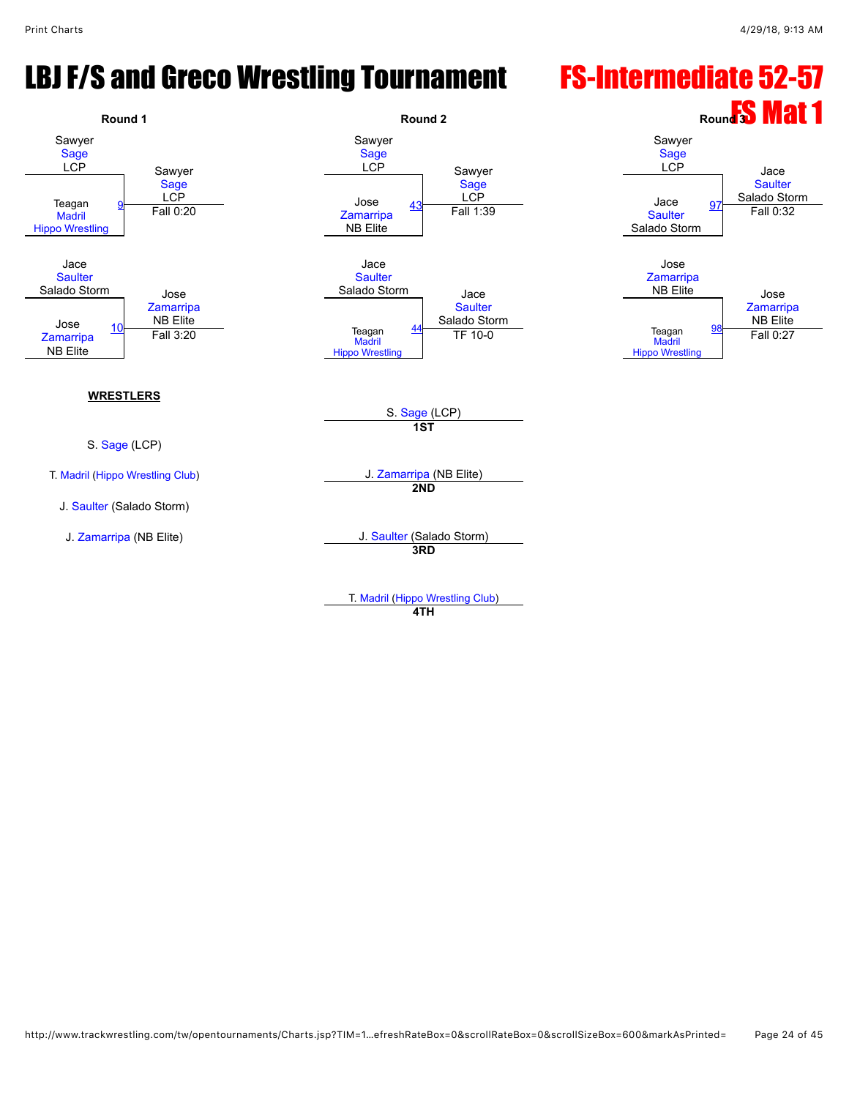# LBJ F/S and Greco Wrestling Tournament FS-Intermediate 52-57



**4TH**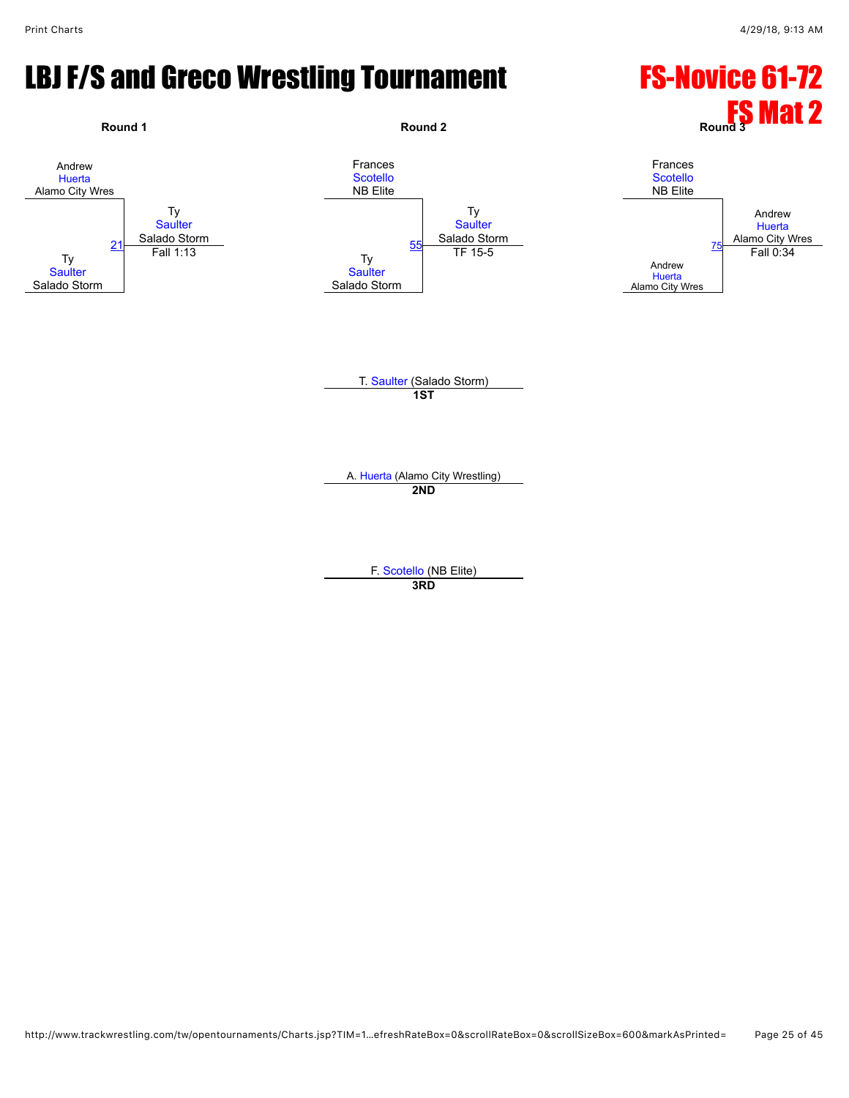# LBJ F/S and Greco Wrestling Tournament FS-Novice 61-72

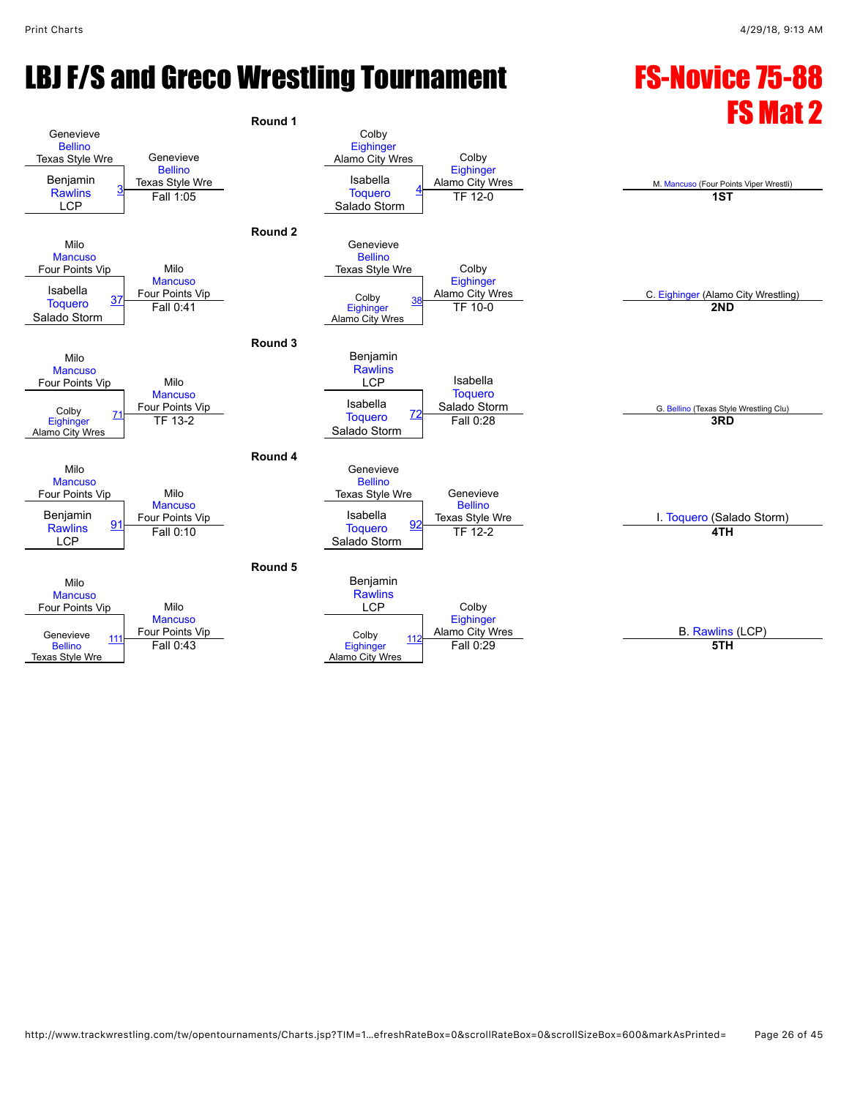# LBJ F/S and Greco Wrestling Tournament FS-Novice 75-88

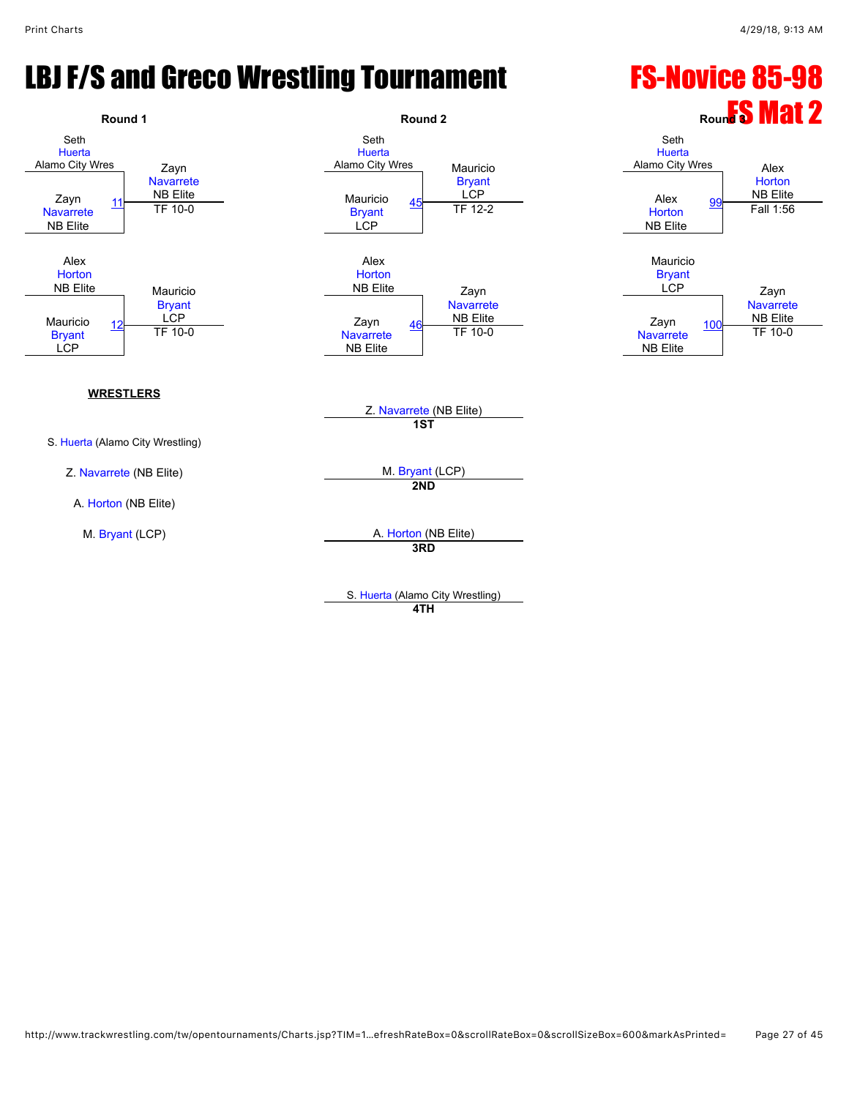# LBJ F/S and Greco Wrestling Tournament FS-Novice 85-98



S. [Huerta](javascript:viewProfile(546165096)) (Alamo City Wrestling) **4TH**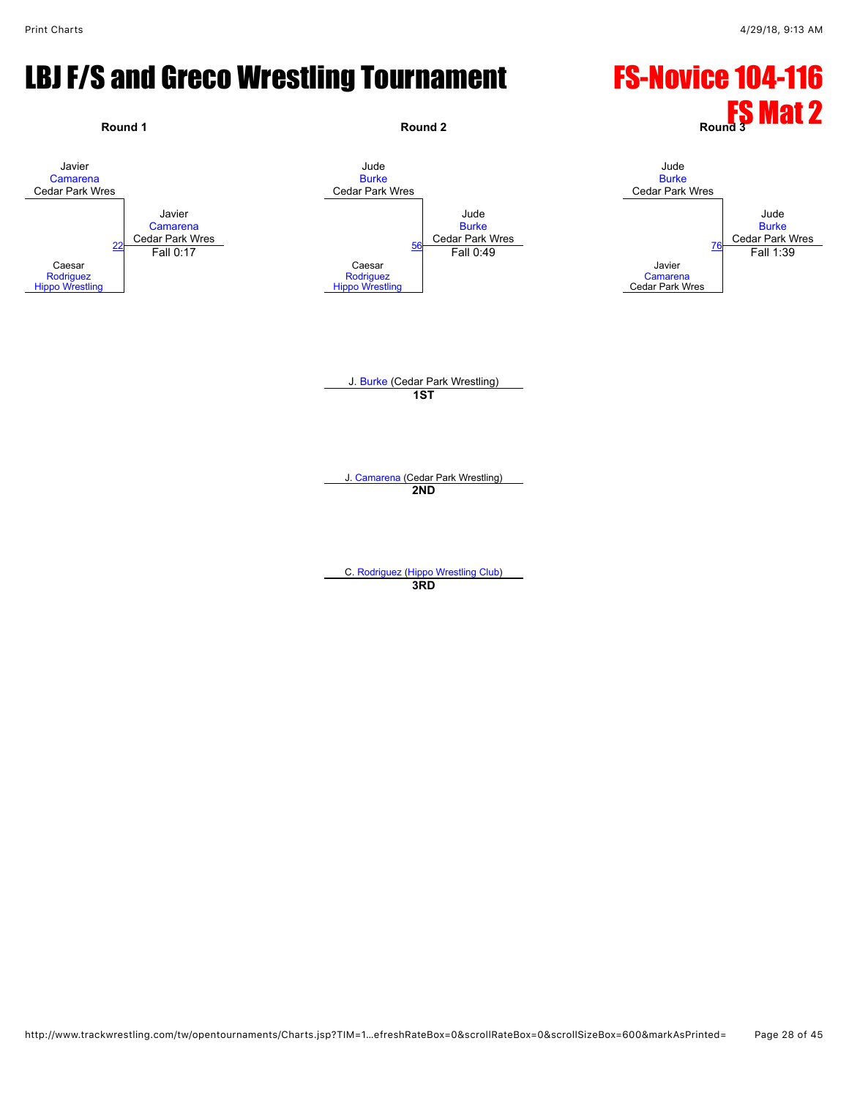#### LBJ F/S and Greco Wrestling Tournament FS-Novice 104-116

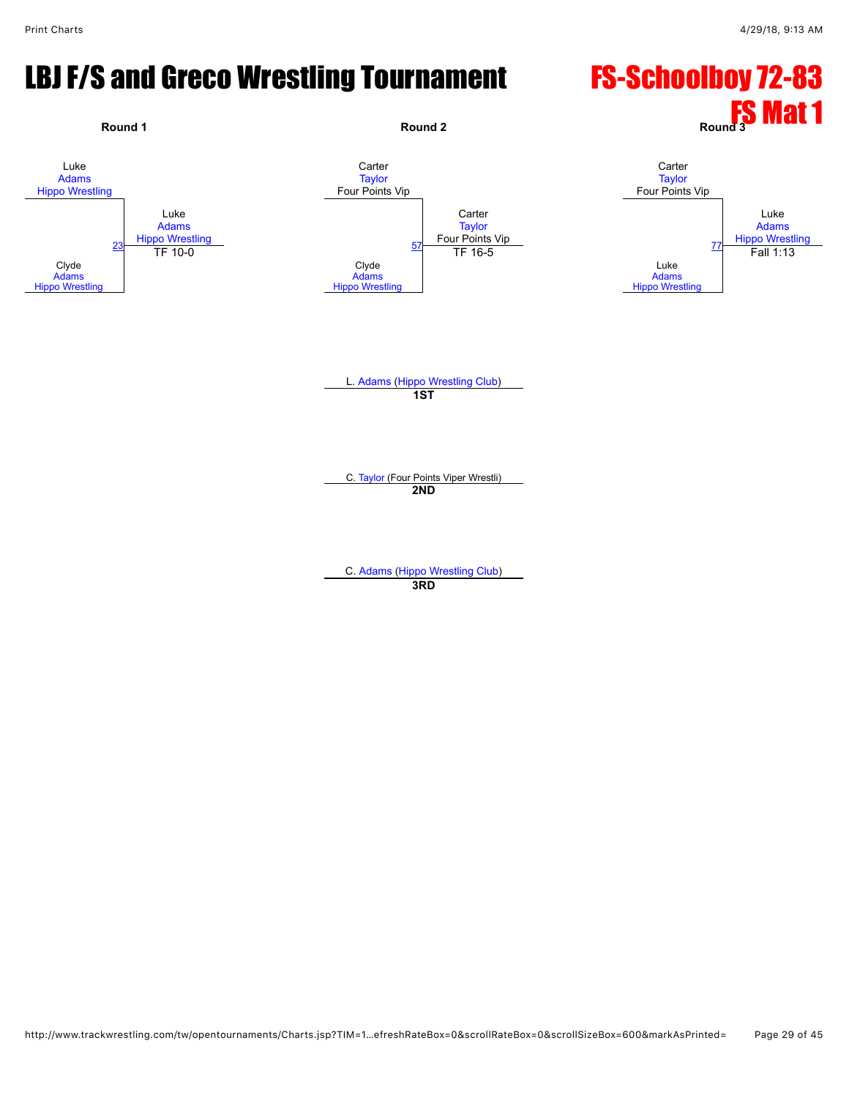#### LBJ F/S and Greco Wrestling Tournament FS-Schoolboy 72-83

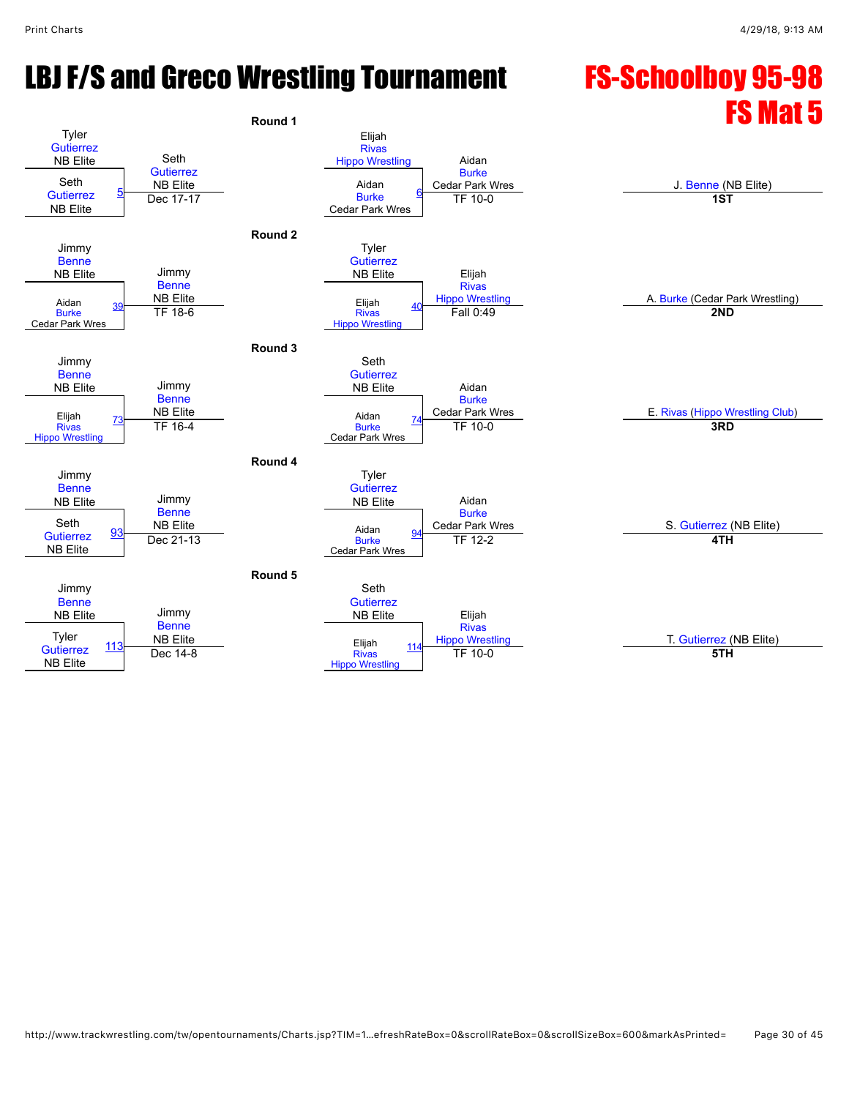# LBJ F/S and Greco Wrestling Tournament FS-Schoolboy 95-98

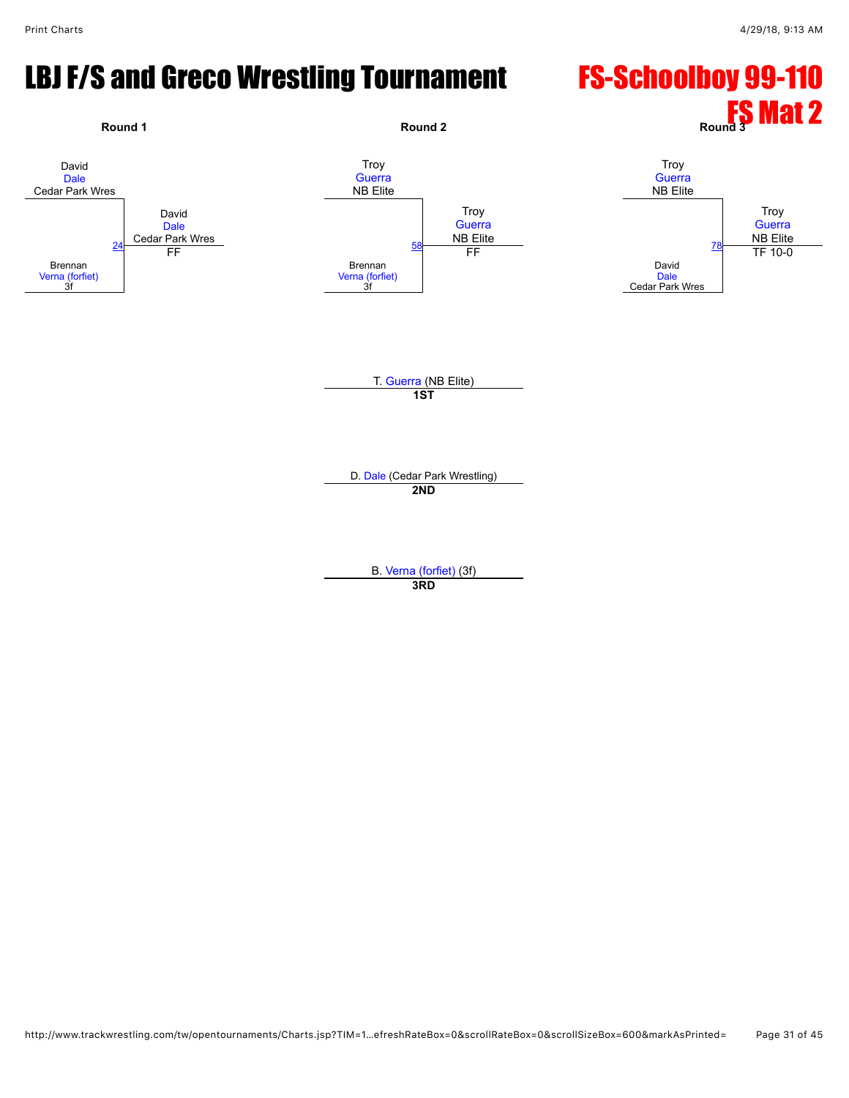# LBJ F/S and Greco Wrestling Tournament FS-Schoolboy 99-110

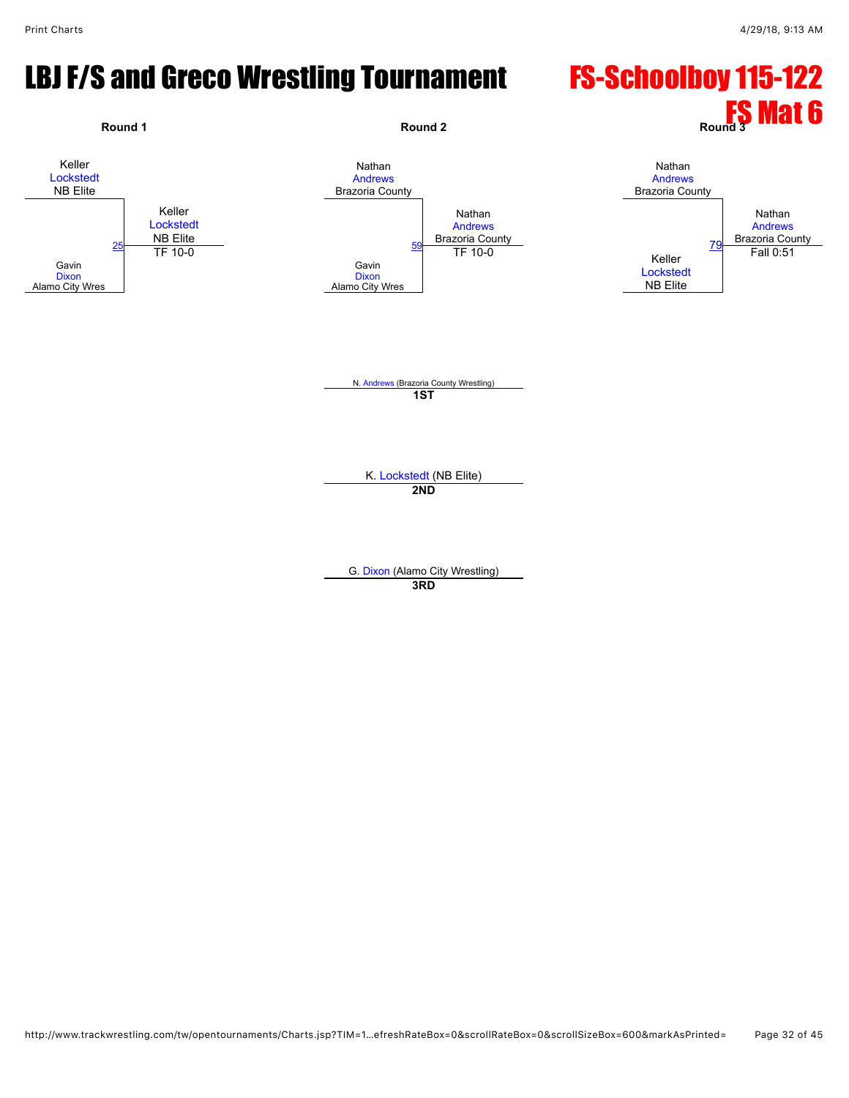#### LBJ F/S and Greco Wrestling Tournament FS-Schoolboy 115-122

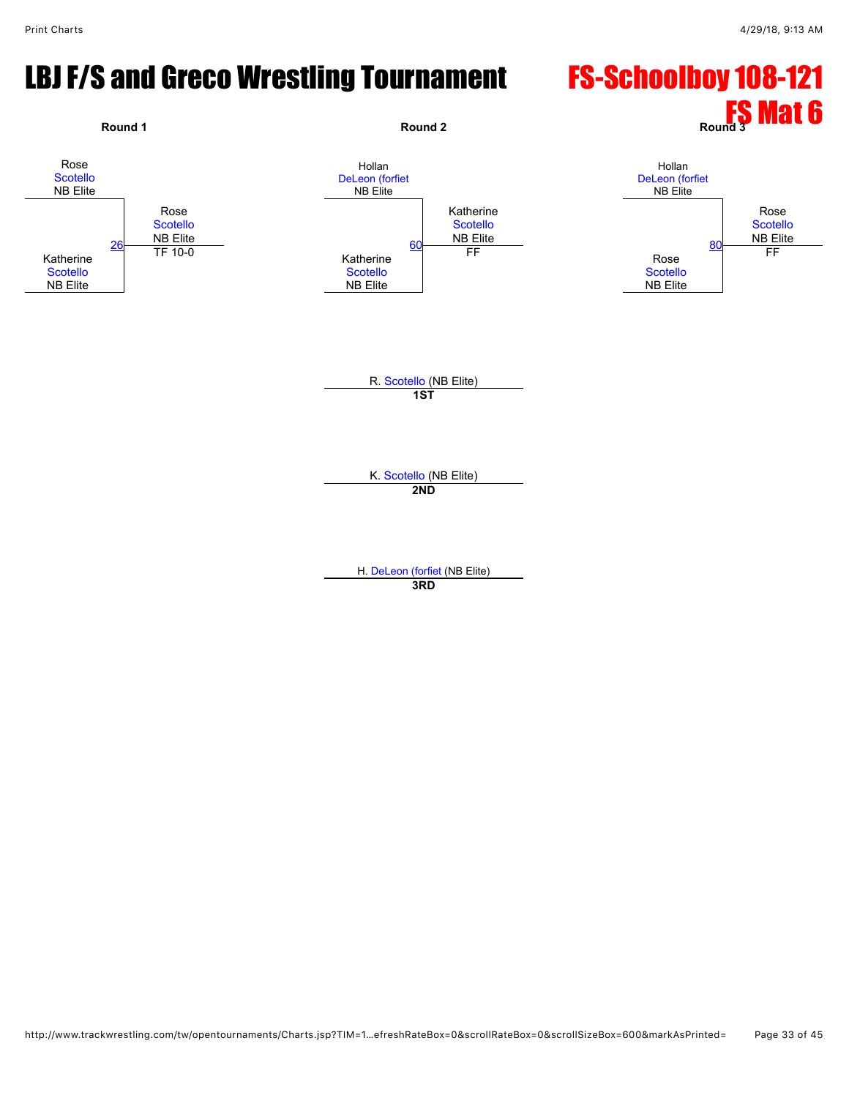#### LBJ F/S and Greco Wrestling Tournament FS-Schoolboy 108-121

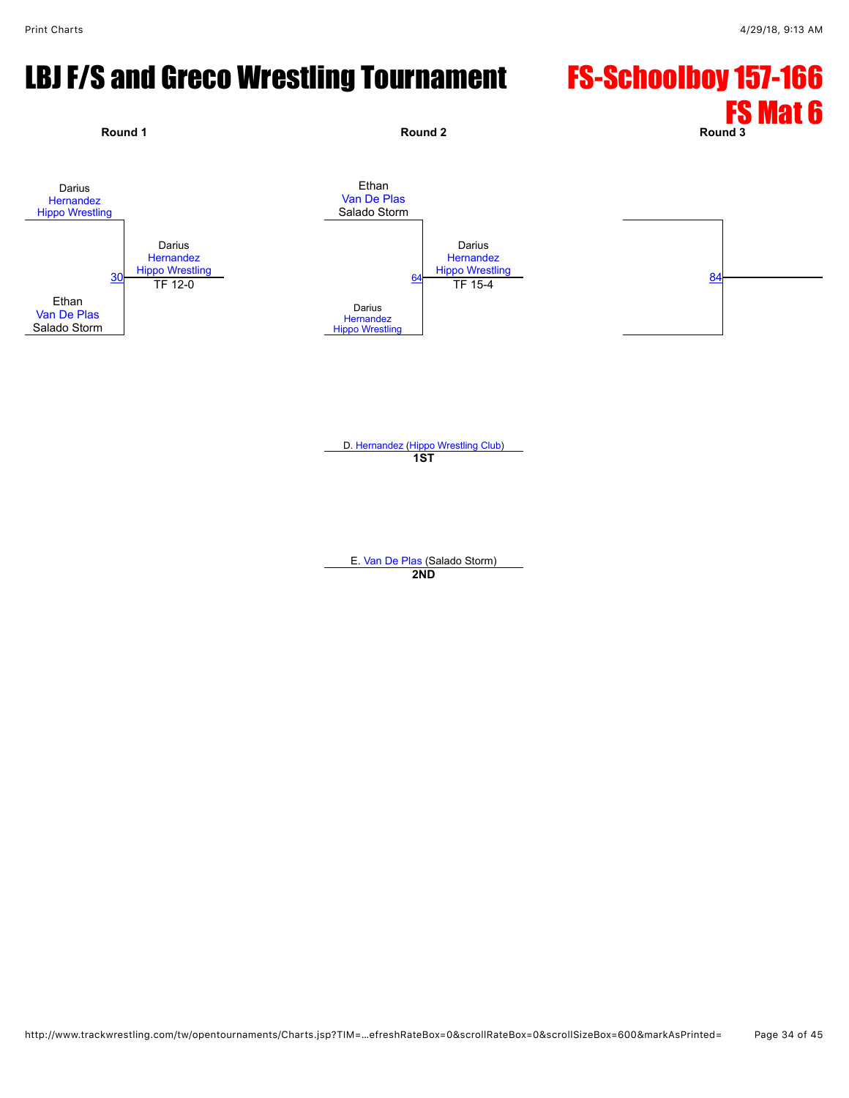# LBJ F/S and Greco Wrestling Tournament FS-Schoolboy 157-166



D. [Hernandez](javascript:viewProfile(2510123)) [\(Hippo Wrestling Club](javascript:viewClub(257903009))) **1ST**

E. [Van De Plas](javascript:viewProfile(72212132)) (Salado Storm) **2ND**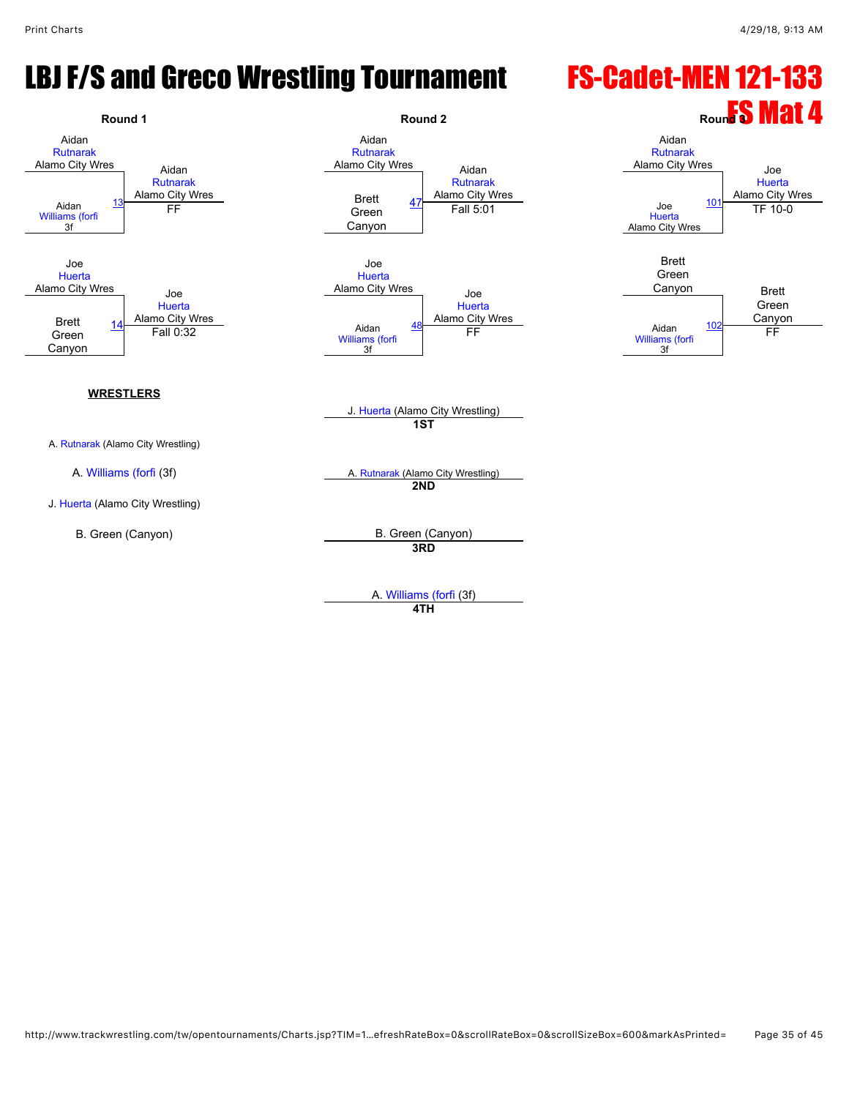#### LBJ F/S and Greco Wrestling Tournament FS-Cadet-MEN 121-133



A. [Williams \(forfi](javascript:viewProfile(69178132)) (3f)

**4TH**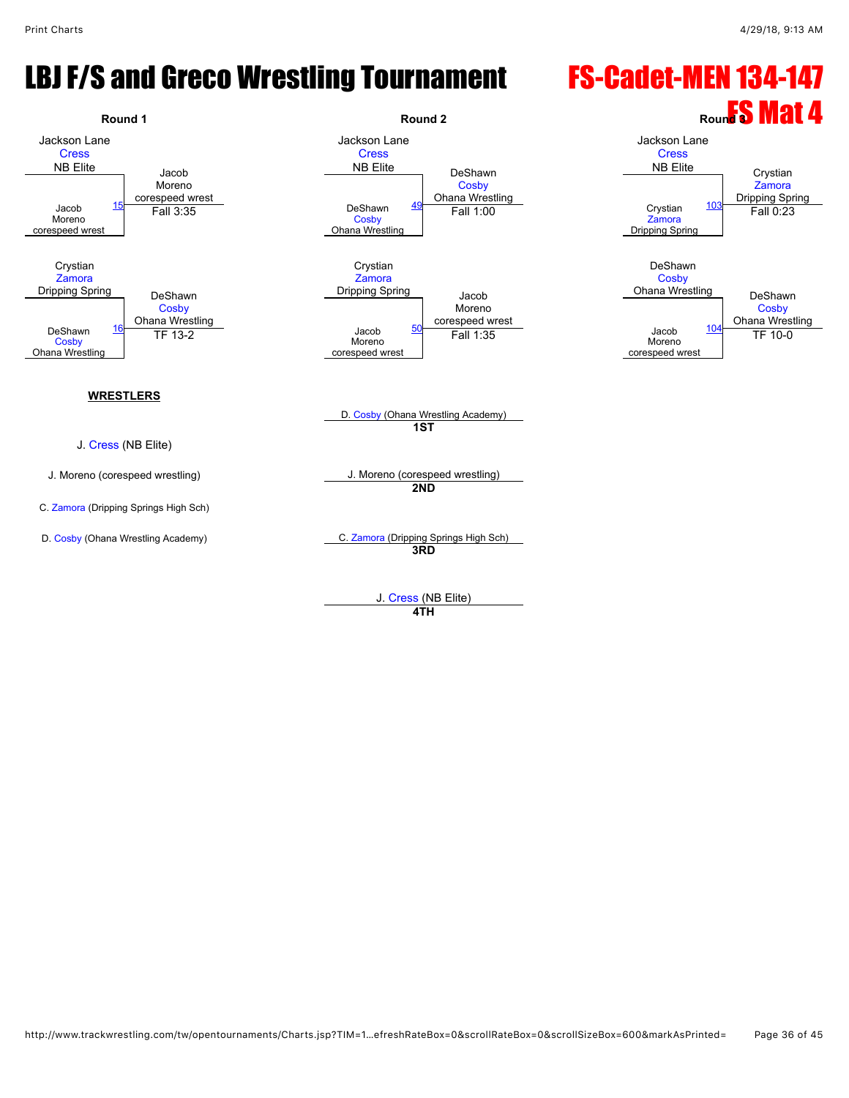#### LBJ F/S and Greco Wrestling Tournament FS-Cadet-MEN 134-147



**4TH**

http://www.trackwrestling.com/tw/opentournaments/Charts.jsp?TIM=1…efreshRateBox=0&scrollRateBox=0&scrollSizeBox=600&markAsPrinted= Page 36 of 45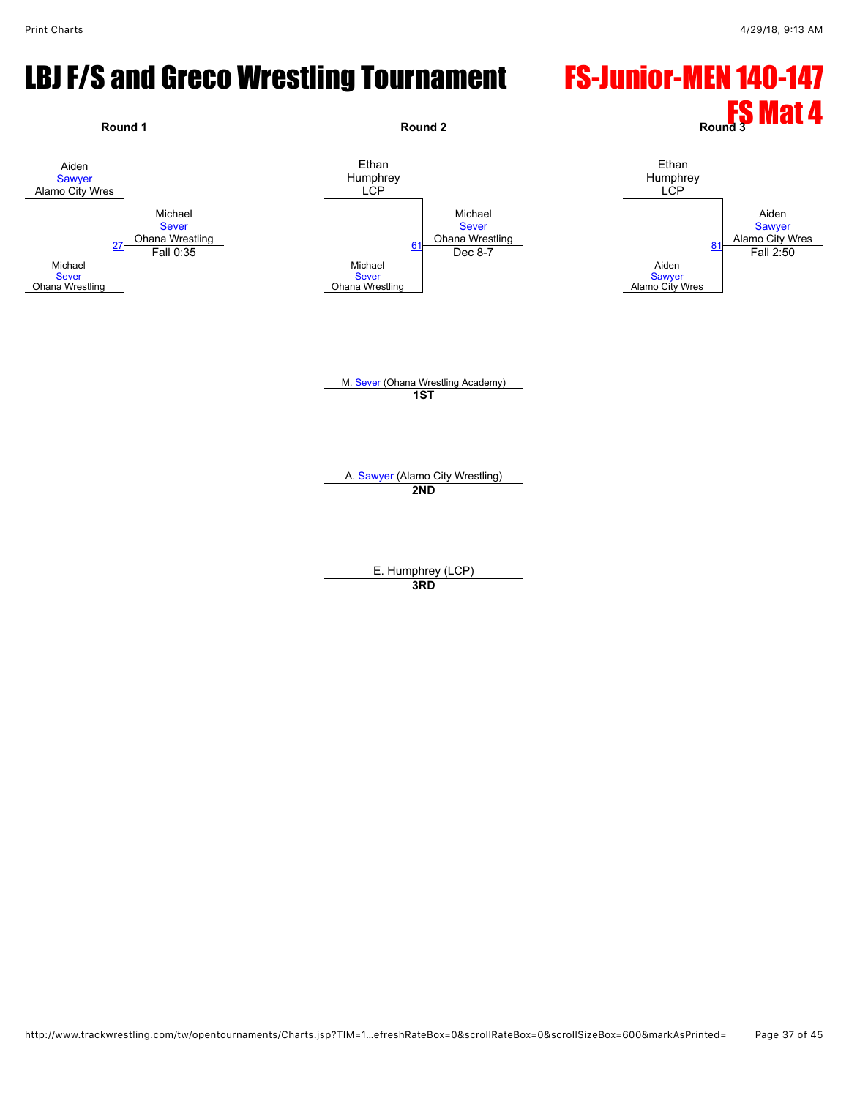#### LBJ F/S and Greco Wrestling Tournament FS-Junior-MEN 140-147



E. Humphrey (LCP)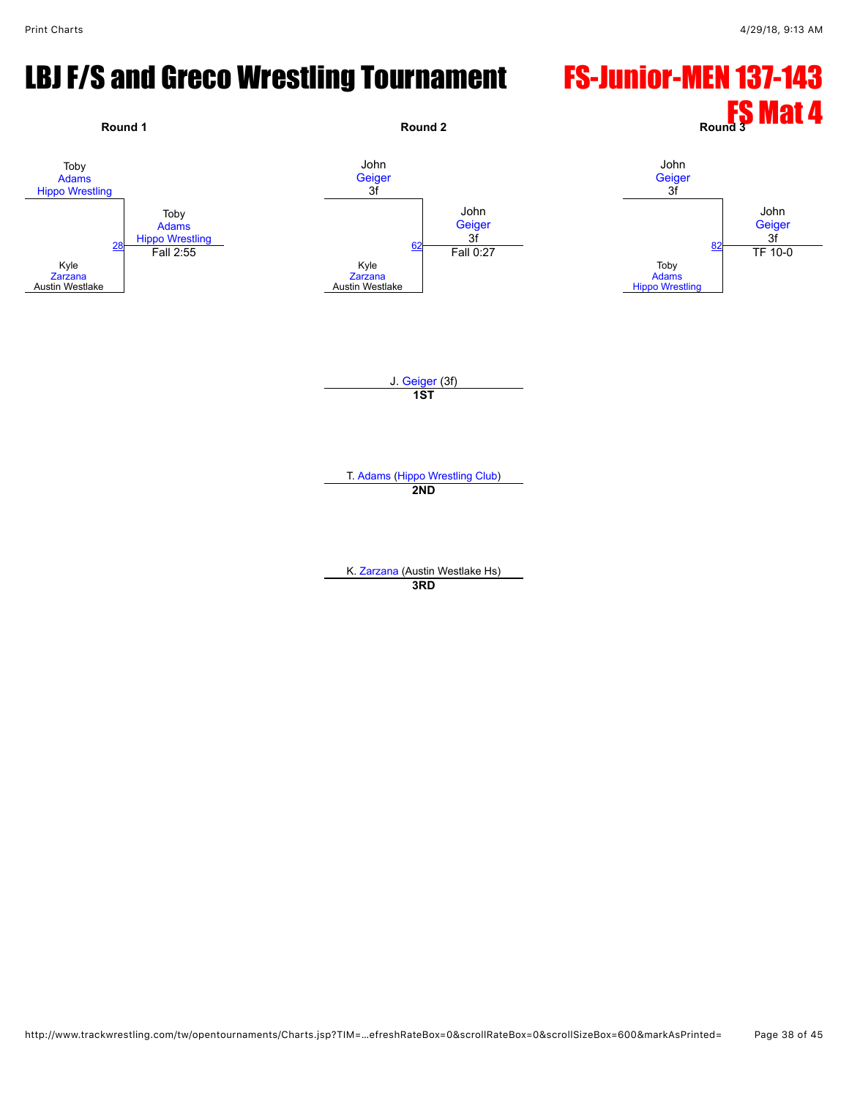## LBJ F/S and Greco Wrestling Tournament FS-Junior-MEN 137-143

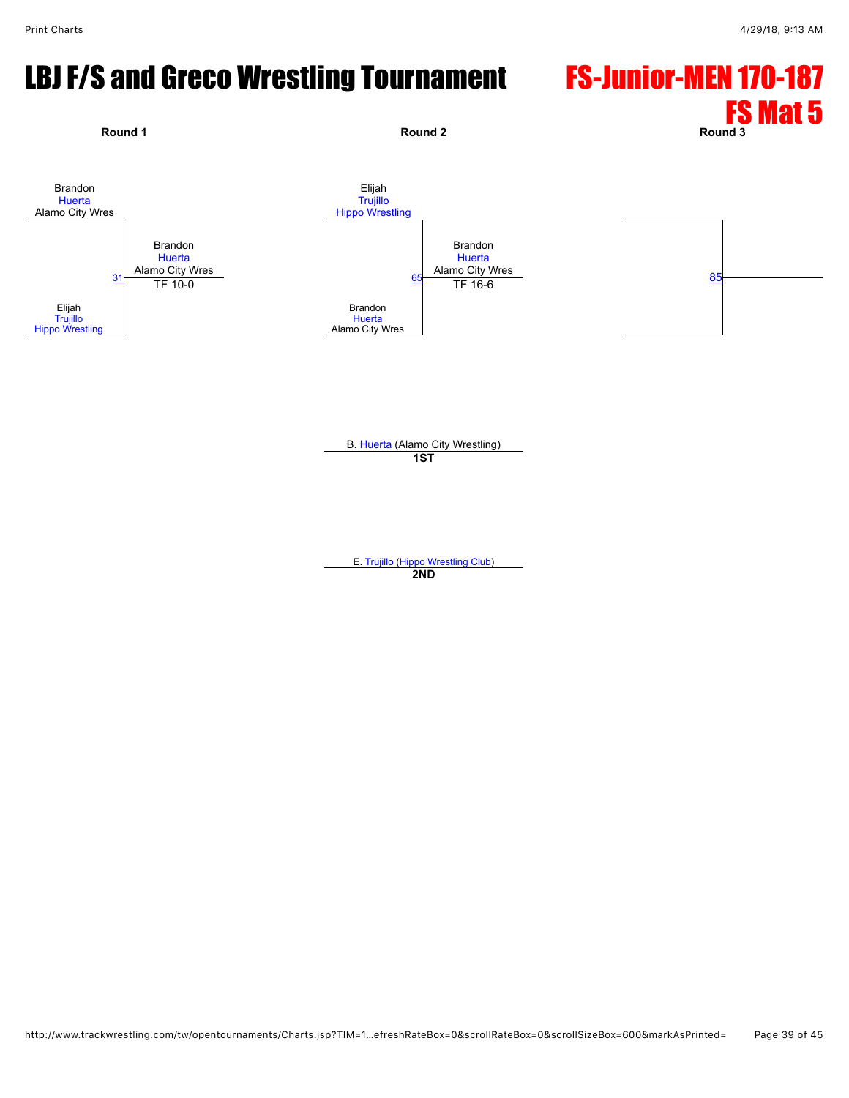# LBJ F/S and Greco Wrestling Tournament FS-Junior-MEN 170-187



B. [Huerta](javascript:viewProfile(166200132)) (Alamo City Wrestling) **1ST**

E. [Trujillo](javascript:viewProfile(20998094)) [\(Hippo Wrestling Club](javascript:viewClub(257903009))) **2ND**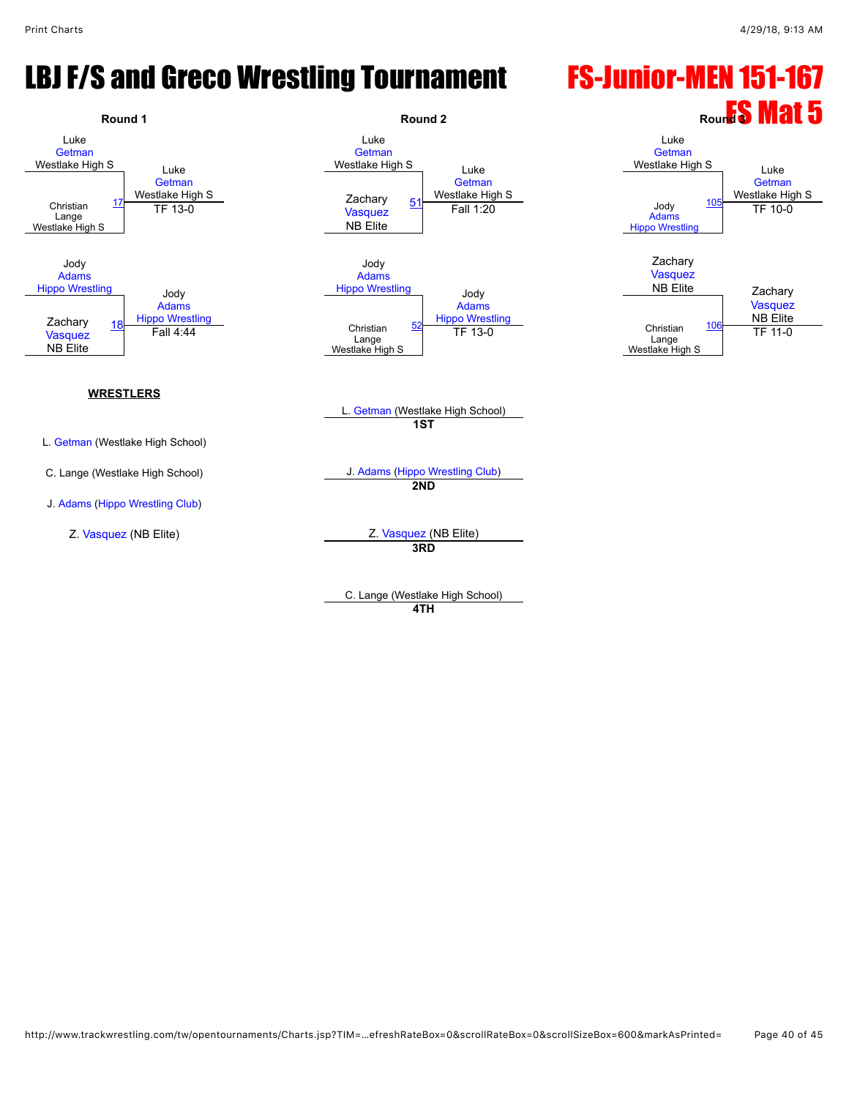# LBJ F/S and Greco Wrestling Tournament FS-Junior-MEN 151-167



C. Lange (Westlake High School) **4TH**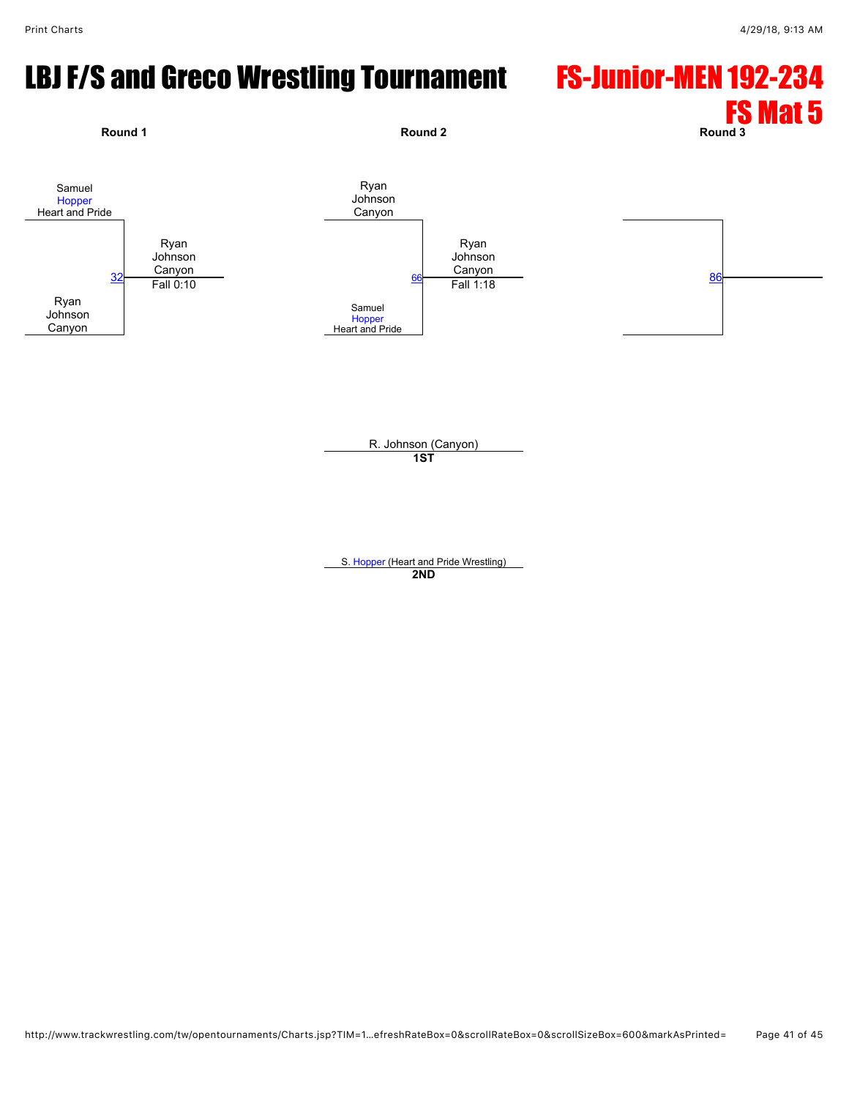# LBJ F/S and Greco Wrestling Tournament FS-Junior-MEN 192-234



S. [Hopper](javascript:viewProfile(1745194096)) (Heart and Pride Wrestling) **2ND**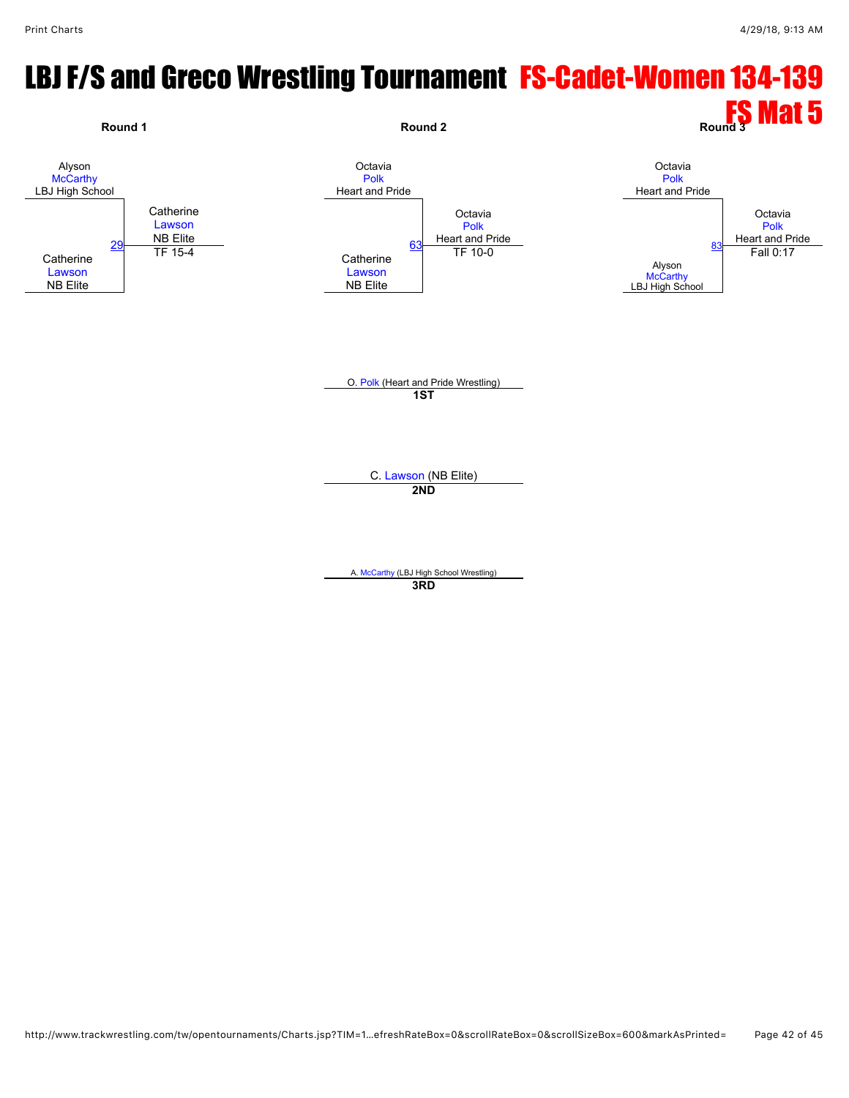# LBJ F/S and Greco Wrestling Tournament FS-Cadet-Women 134-139

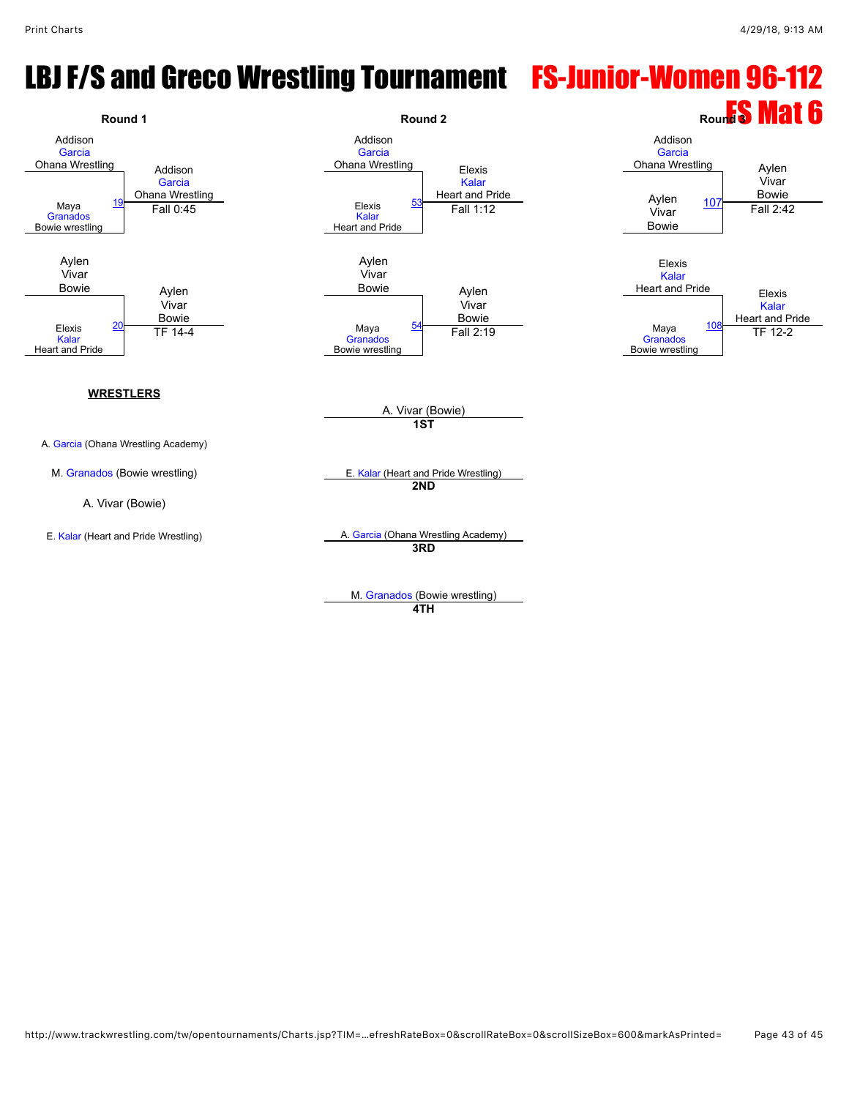# LBJ F/S and Greco Wrestling Tournament FS-Junior-Women 96-112



**4TH**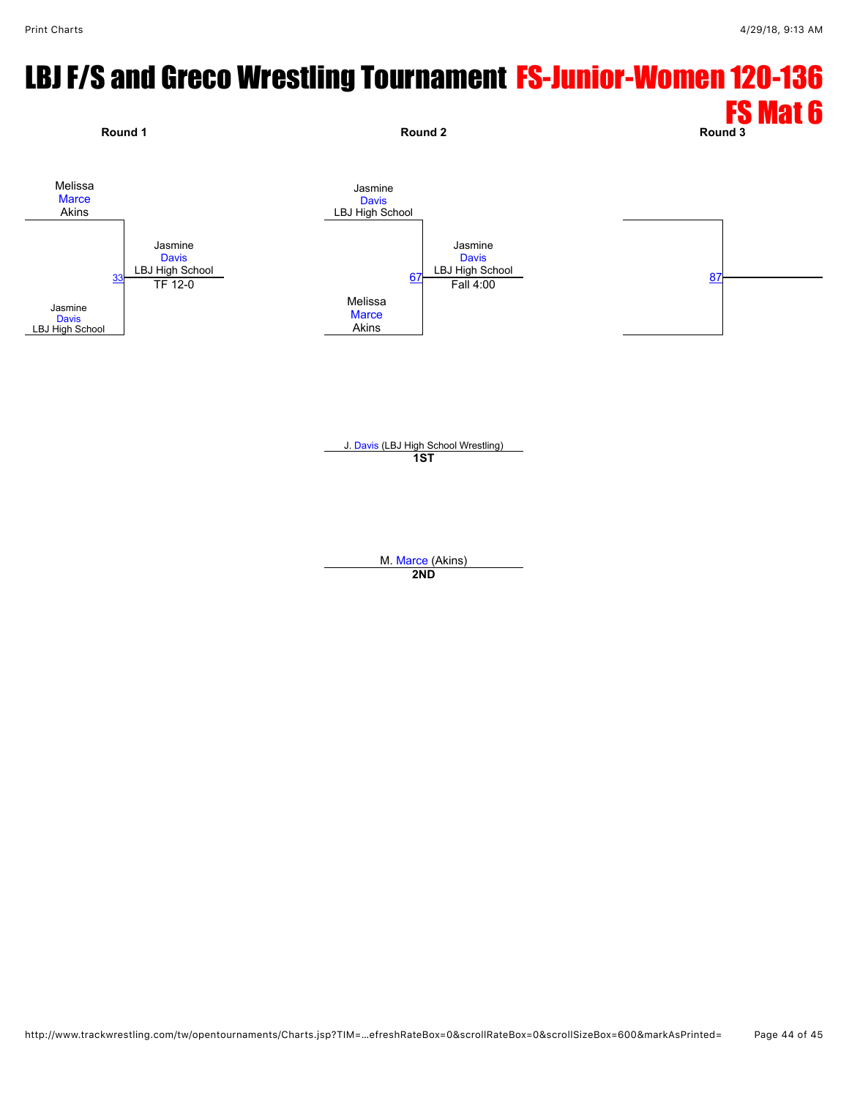# LBJ F/S and Greco Wrestling Tournament FS-Junior-Women 120-136



M. [Marce](javascript:viewProfile(53266076)) (Akins) **2ND**